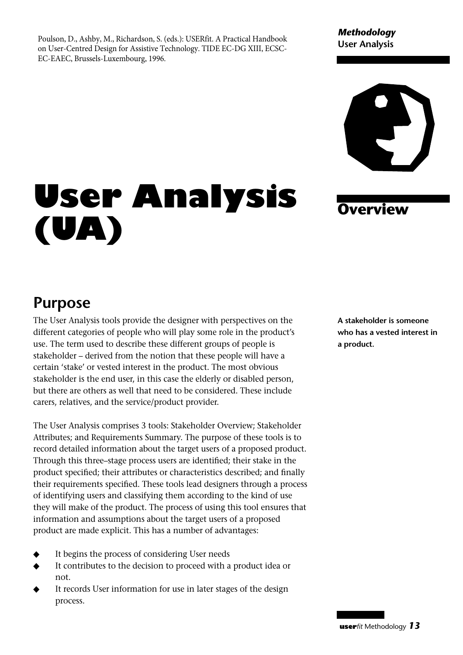Poulson, D., Ashby, M., Richardson, S. (eds.): USERfit. A Practical Handbook on User-Centred Design for Assistive Technology. TIDE EC-DG XIII, ECSC-EC-EAEC, Brussels-Luxembourg, 1996.

#### *Methodology* **User Analysis**



# **User Analysis (UA)**

#### **Overview**

## **Purpose**

The User Analysis tools provide the designer with perspectives on the different categories of people who will play some role in the product's use. The term used to describe these different groups of people is stakeholder – derived from the notion that these people will have a certain 'stake' or vested interest in the product. The most obvious stakeholder is the end user, in this case the elderly or disabled person, but there are others as well that need to be considered. These include carers, relatives, and the service/product provider.

The User Analysis comprises 3 tools: Stakeholder Overview; Stakeholder Attributes; and Requirements Summary. The purpose of these tools is to record detailed information about the target users of a proposed product. Through this three–stage process users are identified; their stake in the product specified; their attributes or characteristics described; and finally their requirements specified. These tools lead designers through a process of identifying users and classifying them according to the kind of use they will make of the product. The process of using this tool ensures that information and assumptions about the target users of a proposed product are made explicit. This has a number of advantages:

- It begins the process of considering User needs
- It contributes to the decision to proceed with a product idea or not.
- It records User information for use in later stages of the design process.

**A stakeholder is someone who has a vested interest in a product.**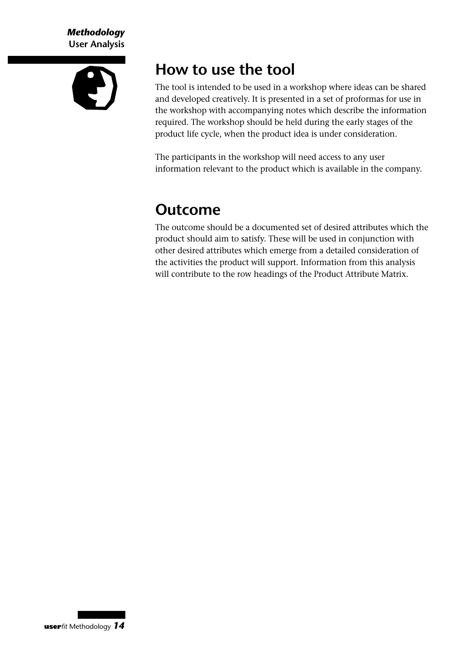*Methodology* **User Analysis**



### **How to use the tool**

The tool is intended to be used in a workshop where ideas can be shared and developed creatively. It is presented in a set of proformas for use in the workshop with accompanying notes which describe the information required. The workshop should be held during the early stages of the product life cycle, when the product idea is under consideration.

The participants in the workshop will need access to any user information relevant to the product which is available in the company.

## **Outcome**

The outcome should be a documented set of desired attributes which the product should aim to satisfy. These will be used in conjunction with other desired attributes which emerge from a detailed consideration of the activities the product will support. Information from this analysis will contribute to the row headings of the Product Attribute Matrix.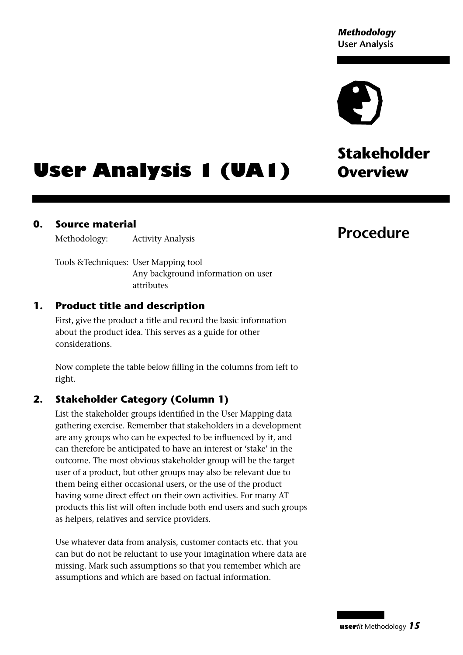# **Stakeholder**

# **User Analysis 1 (UA1)** Overview

#### **0. Source material**

Methodology: Activity Analysis

Tools &Techniques: User Mapping tool Any background information on user attributes

#### **1. Product title and description**

First, give the product a title and record the basic information about the product idea. This serves as a guide for other considerations.

Now complete the table below filling in the columns from left to right.

#### **2. Stakeholder Category (Column 1)**

List the stakeholder groups identified in the User Mapping data gathering exercise. Remember that stakeholders in a development are any groups who can be expected to be influenced by it, and can therefore be anticipated to have an interest or 'stake' in the outcome. The most obvious stakeholder group will be the target user of a product, but other groups may also be relevant due to them being either occasional users, or the use of the product having some direct effect on their own activities. For many AT products this list will often include both end users and such groups as helpers, relatives and service providers.

Use whatever data from analysis, customer contacts etc. that you can but do not be reluctant to use your imagination where data are missing. Mark such assumptions so that you remember which are assumptions and which are based on factual information.

#### **Procedure**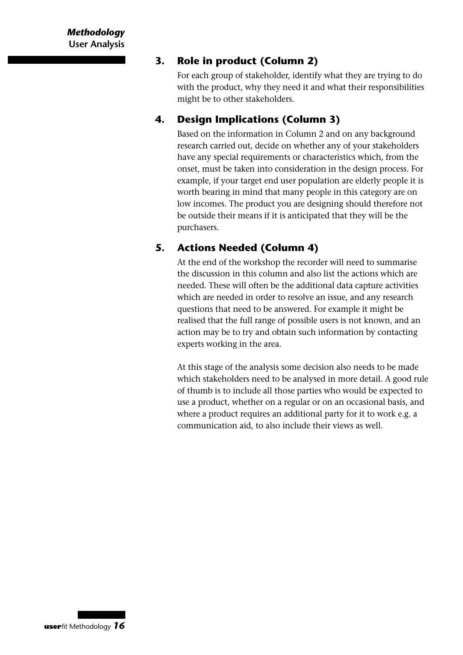#### **3. Role in product (Column 2)**

For each group of stakeholder, identify what they are trying to do with the product, why they need it and what their responsibilities might be to other stakeholders.

#### **4. Design Implications (Column 3)**

Based on the information in Column 2 and on any background research carried out, decide on whether any of your stakeholders have any special requirements or characteristics which, from the onset, must be taken into consideration in the design process. For example, if your target end user population are elderly people it is worth bearing in mind that many people in this category are on low incomes. The product you are designing should therefore not be outside their means if it is anticipated that they will be the purchasers.

#### **5. Actions Needed (Column 4)**

At the end of the workshop the recorder will need to summarise the discussion in this column and also list the actions which are needed. These will often be the additional data capture activities which are needed in order to resolve an issue, and any research questions that need to be answered. For example it might be realised that the full range of possible users is not known, and an action may be to try and obtain such information by contacting experts working in the area.

At this stage of the analysis some decision also needs to be made which stakeholders need to be analysed in more detail. A good rule of thumb is to include all those parties who would be expected to use a product, whether on a regular or on an occasional basis, and where a product requires an additional party for it to work e.g. a communication aid, to also include their views as well.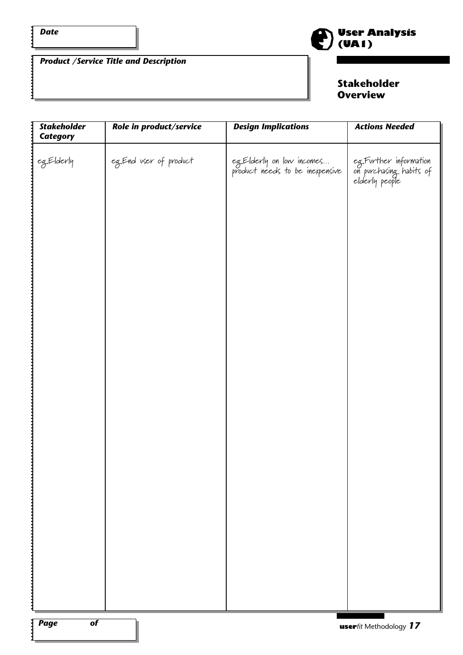$\mathbf{i}$ 

*Product /Service Title and Description*



#### **Stakeholder Overview**

| <b>Stakeholder</b><br><b>Category</b> | Role in product/service | <b>Design Implications</b>                                   | <b>Actions Needed</b>                                               |
|---------------------------------------|-------------------------|--------------------------------------------------------------|---------------------------------------------------------------------|
| eg.Elderly                            | eg. End user of product | eg.Elderly on low incomes<br>product needs to be inexpensive | eg.Further information<br>on purchasing habits of<br>elderly people |
|                                       |                         |                                                              |                                                                     |
|                                       |                         |                                                              |                                                                     |
|                                       |                         |                                                              |                                                                     |
|                                       |                         |                                                              |                                                                     |
|                                       |                         |                                                              |                                                                     |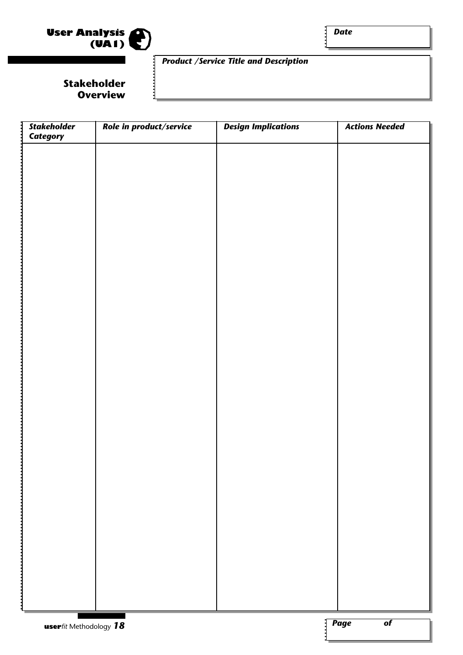

*Date*

#### *Product /Service Title and Description*

**Stakeholder Overview**

| Stakeholder<br>Category | Role in product/service | <b>Design Implications</b> | <b>Actions Needed</b>          |
|-------------------------|-------------------------|----------------------------|--------------------------------|
|                         |                         |                            |                                |
|                         |                         |                            |                                |
|                         |                         |                            |                                |
|                         |                         |                            |                                |
|                         |                         |                            |                                |
|                         |                         |                            |                                |
|                         |                         |                            |                                |
|                         |                         |                            |                                |
|                         |                         |                            |                                |
|                         |                         |                            |                                |
|                         |                         |                            |                                |
|                         |                         |                            |                                |
|                         |                         |                            |                                |
|                         |                         |                            |                                |
|                         |                         |                            |                                |
|                         |                         |                            |                                |
|                         |                         |                            |                                |
|                         |                         |                            |                                |
|                         |                         |                            |                                |
|                         |                         |                            |                                |
|                         |                         |                            |                                |
|                         |                         |                            |                                |
|                         |                         |                            |                                |
|                         |                         |                            |                                |
|                         |                         |                            |                                |
|                         |                         |                            |                                |
|                         |                         |                            |                                |
|                         |                         |                            |                                |
|                         |                         |                            |                                |
|                         |                         |                            |                                |
|                         |                         |                            |                                |
|                         |                         |                            |                                |
|                         |                         |                            |                                |
|                         |                         |                            |                                |
|                         |                         |                            |                                |
|                         |                         |                            |                                |
|                         |                         |                            |                                |
|                         |                         |                            |                                |
|                         |                         |                            |                                |
|                         |                         |                            |                                |
|                         |                         |                            |                                |
|                         |                         |                            |                                |
|                         |                         |                            |                                |
|                         |                         |                            |                                |
|                         |                         |                            |                                |
|                         |                         |                            |                                |
| userfit Methodology 18  |                         |                            | <b>Page</b><br>$\overline{of}$ |
|                         |                         |                            |                                |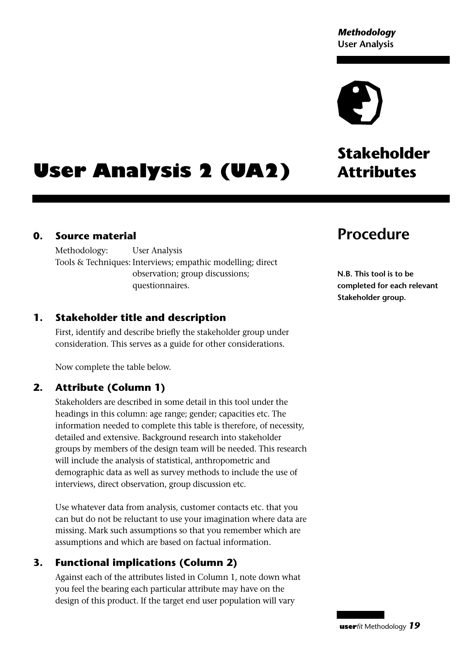# **Stakeholder**

# **User Analysis 2 (UA2)** Attributes

#### **0. Source material**

Methodology: User Analysis Tools & Techniques: Interviews; empathic modelling; direct observation; group discussions; questionnaires.

#### **1. Stakeholder title and description**

First, identify and describe briefly the stakeholder group under consideration. This serves as a guide for other considerations.

Now complete the table below.

#### **2. Attribute (Column 1)**

Stakeholders are described in some detail in this tool under the headings in this column: age range; gender; capacities etc. The information needed to complete this table is therefore, of necessity, detailed and extensive. Background research into stakeholder groups by members of the design team will be needed. This research will include the analysis of statistical, anthropometric and demographic data as well as survey methods to include the use of interviews, direct observation, group discussion etc.

Use whatever data from analysis, customer contacts etc. that you can but do not be reluctant to use your imagination where data are missing. Mark such assumptions so that you remember which are assumptions and which are based on factual information.

#### **3. Functional implications (Column 2)**

Against each of the attributes listed in Column 1, note down what you feel the bearing each particular attribute may have on the design of this product. If the target end user population will vary

### **Procedure**

**N.B. This tool is to be completed for each relevant Stakeholder group.**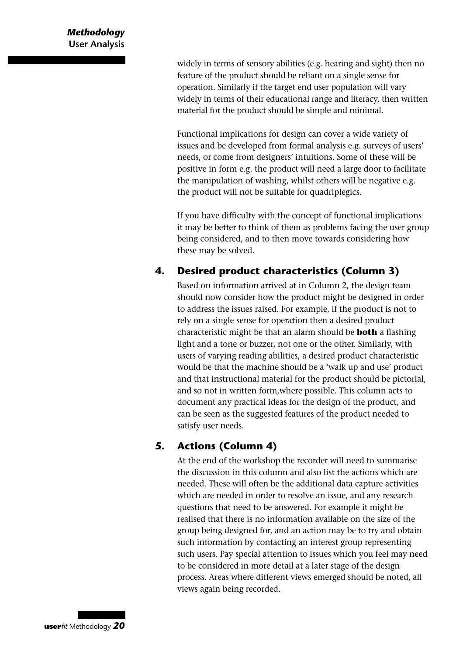widely in terms of sensory abilities (e.g. hearing and sight) then no feature of the product should be reliant on a single sense for operation. Similarly if the target end user population will vary widely in terms of their educational range and literacy, then written material for the product should be simple and minimal.

Functional implications for design can cover a wide variety of issues and be developed from formal analysis e.g. surveys of users' needs, or come from designers' intuitions. Some of these will be positive in form e.g. the product will need a large door to facilitate the manipulation of washing, whilst others will be negative e.g. the product will not be suitable for quadriplegics.

If you have difficulty with the concept of functional implications it may be better to think of them as problems facing the user group being considered, and to then move towards considering how these may be solved.

#### **4. Desired product characteristics (Column 3)**

Based on information arrived at in Column 2, the design team should now consider how the product might be designed in order to address the issues raised. For example, if the product is not to rely on a single sense for operation then a desired product characteristic might be that an alarm should be **both** a flashing light and a tone or buzzer, not one or the other. Similarly, with users of varying reading abilities, a desired product characteristic would be that the machine should be a 'walk up and use' product and that instructional material for the product should be pictorial, and so not in written form,where possible. This column acts to document any practical ideas for the design of the product, and can be seen as the suggested features of the product needed to satisfy user needs.

#### **5. Actions (Column 4)**

At the end of the workshop the recorder will need to summarise the discussion in this column and also list the actions which are needed. These will often be the additional data capture activities which are needed in order to resolve an issue, and any research questions that need to be answered. For example it might be realised that there is no information available on the size of the group being designed for, and an action may be to try and obtain such information by contacting an interest group representing such users. Pay special attention to issues which you feel may need to be considered in more detail at a later stage of the design process. Areas where different views emerged should be noted, all views again being recorded.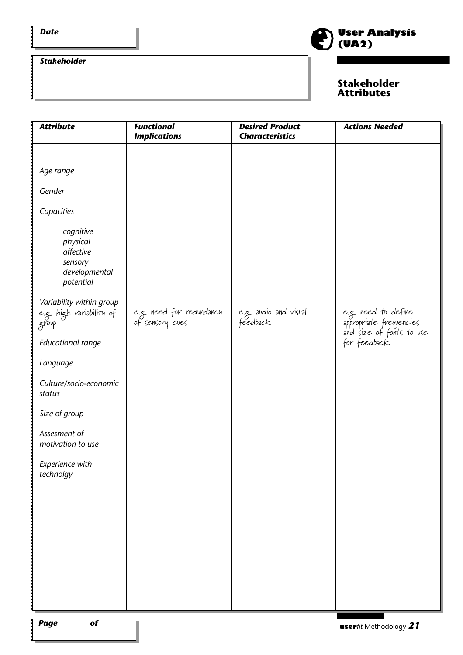$\vdots$ 

 $\vdots$ 

#### *Stakeholder*



#### **Stakeholder Attributes**

| <b>Attribute</b>                                                                                                                                                                                                                                                                                                                                    | <b>Functional</b><br><b>Implications</b>    | <b>Desired Product</b><br><b>Characteristics</b> | <b>Actions Needed</b>                                                                      |
|-----------------------------------------------------------------------------------------------------------------------------------------------------------------------------------------------------------------------------------------------------------------------------------------------------------------------------------------------------|---------------------------------------------|--------------------------------------------------|--------------------------------------------------------------------------------------------|
| Age range<br>Gender<br>Capacities<br>cognitive<br>physical<br>affective<br>sensory<br>developmental<br>potential<br>Variability within group<br>e.g. high variability of<br>group<br><b>Educational range</b><br>Language<br>Culture/socio-economic<br>status<br>Size of group<br>Assesment of<br>motivation to use<br>Experience with<br>technolgy | e.g. need for redundancy<br>of sensory cues | e.g. avd'io and v'isval<br>feedback              | e.g. need to define<br>appropriate frequencies<br>and size of fonts to use<br>for feedback |
| $\sqrt{2}$ Page<br>$\overline{of}$                                                                                                                                                                                                                                                                                                                  |                                             |                                                  | <b>IISAPfit Methodology</b> $21$                                                           |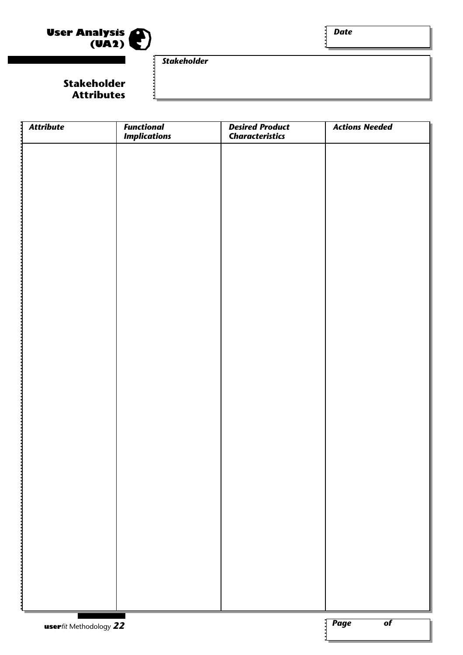

j

*Stakeholder*

#### **Stakeholder Attributes**

| <b>Attribute</b>       | <b>Functional</b>   | <b>Desired Product</b> | <b>Actions Needed</b>          |
|------------------------|---------------------|------------------------|--------------------------------|
|                        | <b>Implications</b> | <b>Characteristics</b> |                                |
|                        |                     |                        |                                |
|                        |                     |                        |                                |
|                        |                     |                        |                                |
|                        |                     |                        |                                |
|                        |                     |                        |                                |
|                        |                     |                        |                                |
|                        |                     |                        |                                |
|                        |                     |                        |                                |
|                        |                     |                        |                                |
|                        |                     |                        |                                |
|                        |                     |                        |                                |
|                        |                     |                        |                                |
|                        |                     |                        |                                |
|                        |                     |                        |                                |
|                        |                     |                        |                                |
|                        |                     |                        |                                |
|                        |                     |                        |                                |
|                        |                     |                        |                                |
|                        |                     |                        |                                |
|                        |                     |                        |                                |
|                        |                     |                        |                                |
|                        |                     |                        |                                |
|                        |                     |                        |                                |
|                        |                     |                        |                                |
|                        |                     |                        |                                |
|                        |                     |                        |                                |
|                        |                     |                        |                                |
|                        |                     |                        |                                |
|                        |                     |                        |                                |
|                        |                     |                        |                                |
|                        |                     |                        |                                |
|                        |                     |                        |                                |
|                        |                     |                        |                                |
|                        |                     |                        |                                |
|                        |                     |                        |                                |
|                        |                     |                        |                                |
|                        |                     |                        |                                |
|                        |                     |                        |                                |
|                        |                     |                        |                                |
| userfit Methodology 22 |                     |                        | <b>Page</b><br>$\overline{of}$ |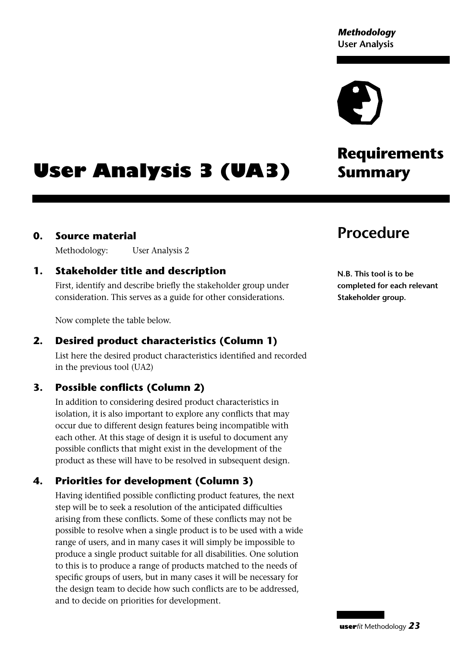# **Requirements**

# **User Analysis 3 (UA3)** Summary

#### **0. Source material**

Methodology: User Analysis 2

#### **1. Stakeholder title and description**

First, identify and describe briefly the stakeholder group under consideration. This serves as a guide for other considerations.

Now complete the table below.

#### **2. Desired product characteristics (Column 1)**

List here the desired product characteristics identified and recorded in the previous tool (UA2)

#### **3. Possible conflicts (Column 2)**

In addition to considering desired product characteristics in isolation, it is also important to explore any conflicts that may occur due to different design features being incompatible with each other. At this stage of design it is useful to document any possible conflicts that might exist in the development of the product as these will have to be resolved in subsequent design.

#### **4. Priorities for development (Column 3)**

Having identified possible conflicting product features, the next step will be to seek a resolution of the anticipated difficulties arising from these conflicts. Some of these conflicts may not be possible to resolve when a single product is to be used with a wide range of users, and in many cases it will simply be impossible to produce a single product suitable for all disabilities. One solution to this is to produce a range of products matched to the needs of specific groups of users, but in many cases it will be necessary for the design team to decide how such conflicts are to be addressed, and to decide on priorities for development.

### **Procedure**

**N.B. This tool is to be completed for each relevant Stakeholder group.**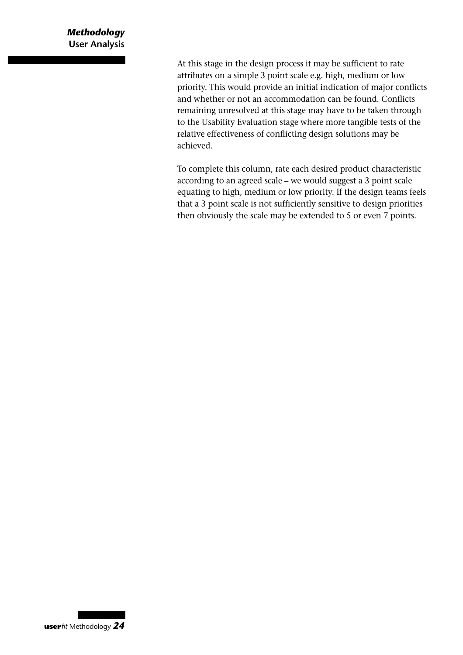#### *Methodology* **User Analysis**

At this stage in the design process it may be sufficient to rate attributes on a simple 3 point scale e.g. high, medium or low priority. This would provide an initial indication of major conflicts and whether or not an accommodation can be found. Conflicts remaining unresolved at this stage may have to be taken through to the Usability Evaluation stage where more tangible tests of the relative effectiveness of conflicting design solutions may be achieved.

To complete this column, rate each desired product characteristic according to an agreed scale – we would suggest a 3 point scale equating to high, medium or low priority. If the design teams feels that a 3 point scale is not sufficiently sensitive to design priorities then obviously the scale may be extended to 5 or even 7 points.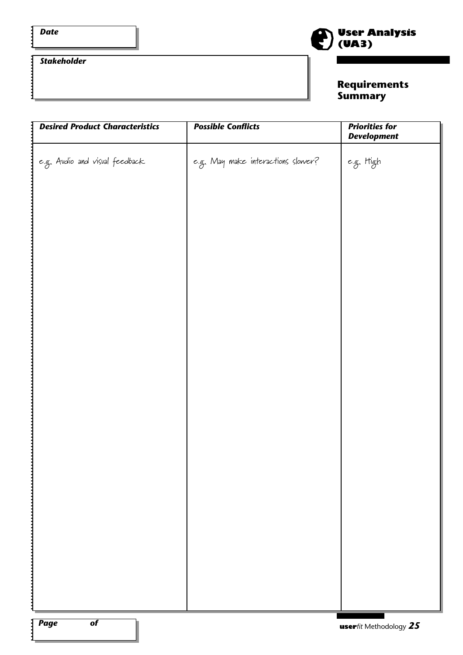Ξ

 $\vdots$ 

#### *Stakeholder*



#### **Requirements Summary**

| <b>Desired Product Characteristics</b>         | <b>Possible Conflicts</b>          | <b>Priorities for</b><br><b>Development</b> |
|------------------------------------------------|------------------------------------|---------------------------------------------|
| e.g. Audio and visual feedback                 | e.g. May make interactions slower? | e.g. High                                   |
|                                                |                                    |                                             |
|                                                |                                    |                                             |
|                                                |                                    |                                             |
|                                                |                                    |                                             |
|                                                |                                    |                                             |
|                                                |                                    |                                             |
|                                                |                                    |                                             |
|                                                |                                    |                                             |
|                                                |                                    |                                             |
|                                                |                                    |                                             |
|                                                |                                    |                                             |
|                                                |                                    |                                             |
|                                                |                                    |                                             |
|                                                |                                    |                                             |
|                                                |                                    |                                             |
|                                                |                                    |                                             |
| $\overline{of}$<br>$\sqrt{\frac{2}{\pi}}$ Page |                                    | <b>user</b> fit Methodology $25$            |

 $\ddot{\cdot}$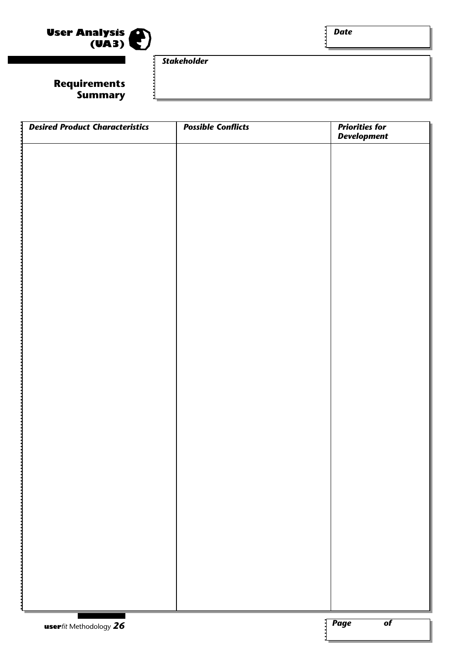

#### *Stakeholder*

#### **Requirements Summary**

| <b>Desired Product Characteristics</b> | <b>Possible Conflicts</b> | <b>Priorities for</b><br><b>Development</b> |
|----------------------------------------|---------------------------|---------------------------------------------|
|                                        |                           |                                             |
|                                        |                           |                                             |
|                                        |                           |                                             |
|                                        |                           |                                             |
|                                        |                           |                                             |
|                                        |                           |                                             |
|                                        |                           |                                             |
|                                        |                           |                                             |
|                                        |                           |                                             |
|                                        |                           |                                             |
|                                        |                           |                                             |
|                                        |                           |                                             |
|                                        |                           |                                             |
|                                        |                           |                                             |
|                                        |                           |                                             |
|                                        |                           |                                             |
|                                        |                           |                                             |
|                                        |                           |                                             |
|                                        |                           |                                             |
|                                        |                           |                                             |
|                                        |                           |                                             |
|                                        |                           |                                             |
|                                        |                           |                                             |
|                                        |                           |                                             |
|                                        |                           |                                             |
|                                        |                           |                                             |
|                                        |                           |                                             |
|                                        |                           |                                             |
| userfit Methodology 26                 |                           | $\sqrt{\textit{Page}}$<br>$\overline{of}$   |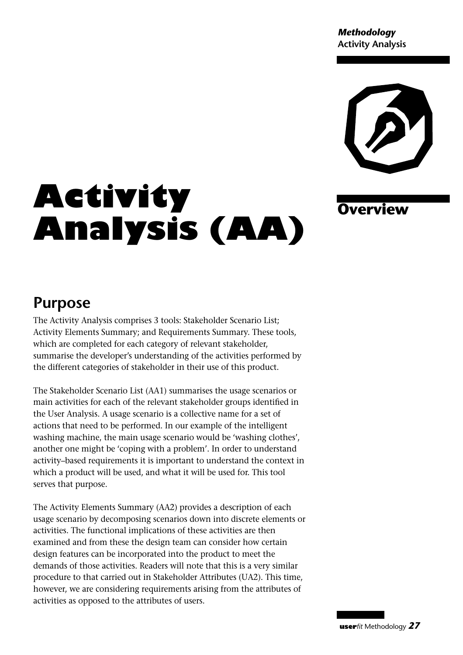*Methodology* **Activity Analysis**



**Overview**

# **Activity Analysis (AA)**

### **Purpose**

The Activity Analysis comprises 3 tools: Stakeholder Scenario List; Activity Elements Summary; and Requirements Summary. These tools, which are completed for each category of relevant stakeholder, summarise the developer's understanding of the activities performed by the different categories of stakeholder in their use of this product.

The Stakeholder Scenario List (AA1) summarises the usage scenarios or main activities for each of the relevant stakeholder groups identified in the User Analysis. A usage scenario is a collective name for a set of actions that need to be performed. In our example of the intelligent washing machine, the main usage scenario would be 'washing clothes', another one might be 'coping with a problem'. In order to understand activity–based requirements it is important to understand the context in which a product will be used, and what it will be used for. This tool serves that purpose.

The Activity Elements Summary (AA2) provides a description of each usage scenario by decomposing scenarios down into discrete elements or activities. The functional implications of these activities are then examined and from these the design team can consider how certain design features can be incorporated into the product to meet the demands of those activities. Readers will note that this is a very similar procedure to that carried out in Stakeholder Attributes (UA2). This time, however, we are considering requirements arising from the attributes of activities as opposed to the attributes of users.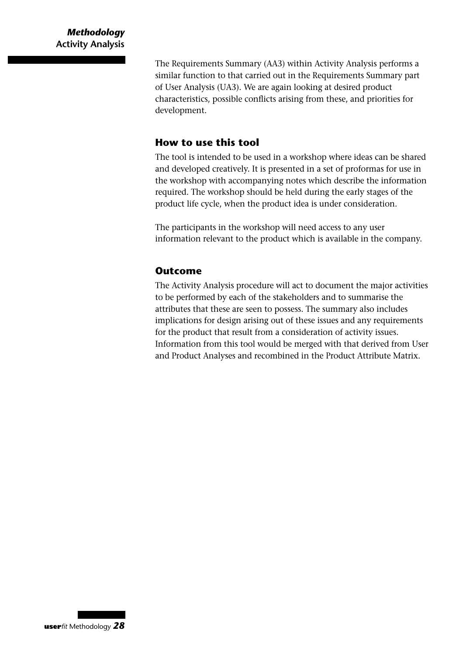The Requirements Summary (AA3) within Activity Analysis performs a similar function to that carried out in the Requirements Summary part of User Analysis (UA3). We are again looking at desired product characteristics, possible conflicts arising from these, and priorities for development.

#### **How to use this tool**

The tool is intended to be used in a workshop where ideas can be shared and developed creatively. It is presented in a set of proformas for use in the workshop with accompanying notes which describe the information required. The workshop should be held during the early stages of the product life cycle, when the product idea is under consideration.

The participants in the workshop will need access to any user information relevant to the product which is available in the company.

#### **Outcome**

The Activity Analysis procedure will act to document the major activities to be performed by each of the stakeholders and to summarise the attributes that these are seen to possess. The summary also includes implications for design arising out of these issues and any requirements for the product that result from a consideration of activity issues. Information from this tool would be merged with that derived from User and Product Analyses and recombined in the Product Attribute Matrix.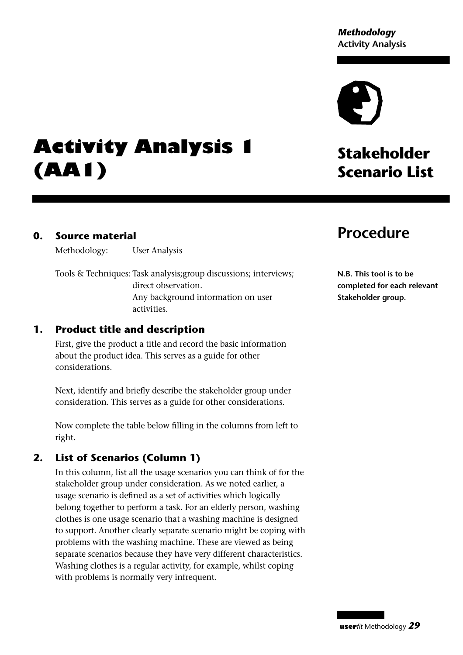*Methodology* **Activity Analysis**

## **Activity Analysis 1 (AA1)**

#### **0. Source material**

Methodology: User Analysis

Tools & Techniques: Task analysis;group discussions; interviews; direct observation. Any background information on user activities.

#### **1. Product title and description**

First, give the product a title and record the basic information about the product idea. This serves as a guide for other considerations.

Next, identify and briefly describe the stakeholder group under consideration. This serves as a guide for other considerations.

Now complete the table below filling in the columns from left to right.

#### **2. List of Scenarios (Column 1)**

In this column, list all the usage scenarios you can think of for the stakeholder group under consideration. As we noted earlier, a usage scenario is defined as a set of activities which logically belong together to perform a task. For an elderly person, washing clothes is one usage scenario that a washing machine is designed to support. Another clearly separate scenario might be coping with problems with the washing machine. These are viewed as being separate scenarios because they have very different characteristics. Washing clothes is a regular activity, for example, whilst coping with problems is normally very infrequent.

#### **Procedure**

**Stakeholder**

**Scenario List**

**N.B. This tool is to be completed for each relevant Stakeholder group.**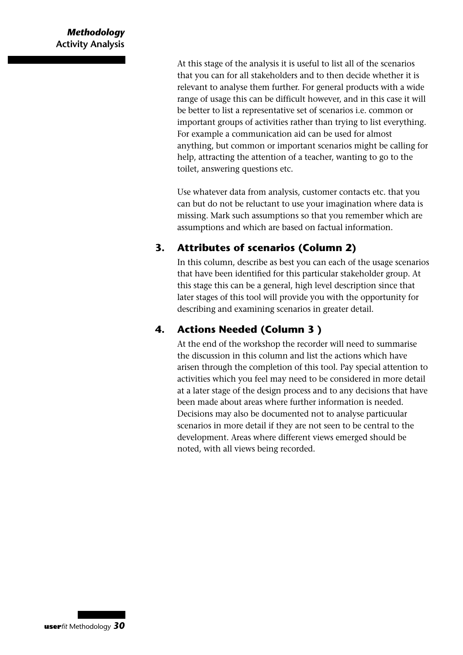At this stage of the analysis it is useful to list all of the scenarios that you can for all stakeholders and to then decide whether it is relevant to analyse them further. For general products with a wide range of usage this can be difficult however, and in this case it will be better to list a representative set of scenarios i.e. common or important groups of activities rather than trying to list everything. For example a communication aid can be used for almost anything, but common or important scenarios might be calling for help, attracting the attention of a teacher, wanting to go to the toilet, answering questions etc.

Use whatever data from analysis, customer contacts etc. that you can but do not be reluctant to use your imagination where data is missing. Mark such assumptions so that you remember which are assumptions and which are based on factual information.

#### **3. Attributes of scenarios (Column 2)**

In this column, describe as best you can each of the usage scenarios that have been identified for this particular stakeholder group. At this stage this can be a general, high level description since that later stages of this tool will provide you with the opportunity for describing and examining scenarios in greater detail.

#### **4. Actions Needed (Column 3 )**

At the end of the workshop the recorder will need to summarise the discussion in this column and list the actions which have arisen through the completion of this tool. Pay special attention to activities which you feel may need to be considered in more detail at a later stage of the design process and to any decisions that have been made about areas where further information is needed. Decisions may also be documented not to analyse particuular scenarios in more detail if they are not seen to be central to the development. Areas where different views emerged should be noted, with all views being recorded.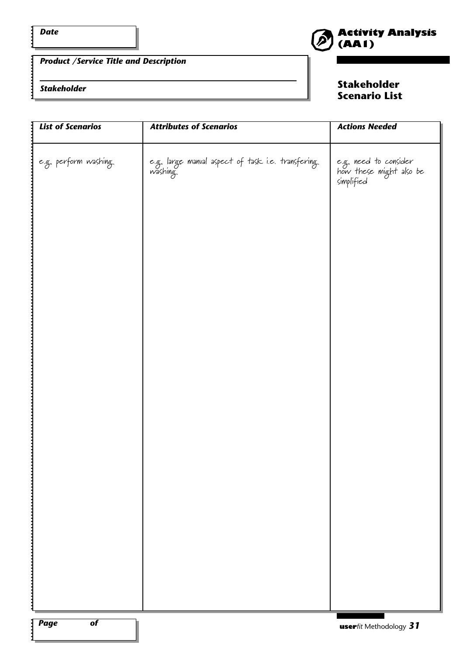$\mathbf{i}$ 

#### *Product /Service Title and Description*

#### *Stakeholder*

**Stakeholder Scenario List**

| <b>List of Scenarios</b>           | <b>Attributes of Scenarios</b>                               | <b>Actions Needed</b>                                          |
|------------------------------------|--------------------------------------------------------------|----------------------------------------------------------------|
| e.g. perform washing               | e.g. large manval aspect of task i.e. transfering<br>washing | e.g. need to consider<br>how these might also be<br>simplified |
|                                    |                                                              |                                                                |
|                                    |                                                              |                                                                |
|                                    |                                                              |                                                                |
|                                    |                                                              |                                                                |
|                                    |                                                              |                                                                |
|                                    |                                                              |                                                                |
| $: \fbox{Page}$<br>$\overline{of}$ |                                                              | <b>user</b> fit Methodology 31                                 |

 $\ddot{\cdot}$ 

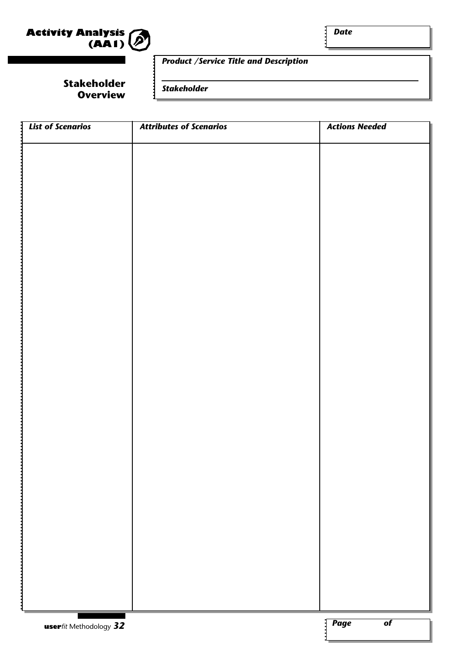

*Date*

#### *Product /Service Title and Description*

**Stakeholder Overview**

*Stakeholder*

| $\frac{1}{2}$ List of Scenarios | <b>Attributes of Scenarios</b> | <b>Actions Needed</b>                     |
|---------------------------------|--------------------------------|-------------------------------------------|
|                                 |                                |                                           |
|                                 |                                |                                           |
|                                 |                                |                                           |
|                                 |                                |                                           |
|                                 |                                |                                           |
|                                 |                                |                                           |
|                                 |                                |                                           |
|                                 |                                |                                           |
|                                 |                                |                                           |
|                                 |                                |                                           |
|                                 |                                |                                           |
|                                 |                                |                                           |
|                                 |                                |                                           |
|                                 |                                |                                           |
|                                 |                                |                                           |
|                                 |                                |                                           |
|                                 |                                |                                           |
|                                 |                                |                                           |
|                                 |                                |                                           |
|                                 |                                |                                           |
|                                 |                                |                                           |
|                                 |                                |                                           |
|                                 |                                |                                           |
|                                 |                                |                                           |
|                                 |                                |                                           |
|                                 |                                |                                           |
|                                 |                                |                                           |
|                                 |                                |                                           |
|                                 |                                |                                           |
|                                 |                                |                                           |
|                                 |                                |                                           |
|                                 |                                |                                           |
|                                 |                                |                                           |
|                                 |                                |                                           |
|                                 |                                |                                           |
|                                 |                                |                                           |
|                                 |                                |                                           |
|                                 |                                |                                           |
|                                 |                                | $\sqrt{\textit{Page}}$<br>$\overline{of}$ |
| <b>user</b> fit Methodology 32  |                                |                                           |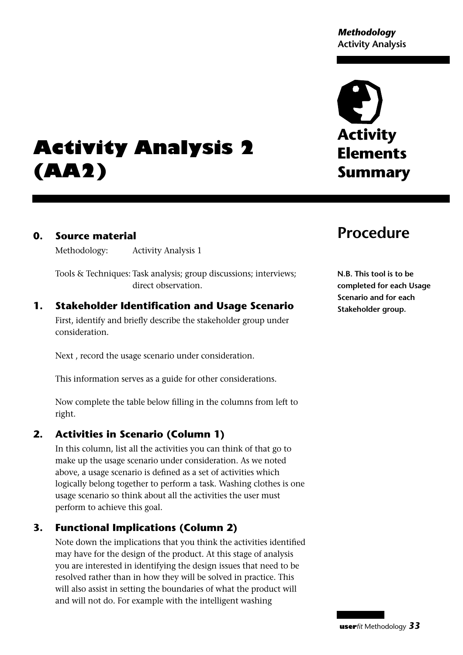# **Activity Elements Summary**

# **Activity Analysis 2 (AA2)**

#### **0. Source material**

Methodology: Activity Analysis 1

Tools & Techniques: Task analysis; group discussions; interviews; direct observation.

#### **1. Stakeholder Identification and Usage Scenario**

First, identify and briefly describe the stakeholder group under consideration.

Next , record the usage scenario under consideration.

This information serves as a guide for other considerations.

Now complete the table below filling in the columns from left to right.

#### **2. Activities in Scenario (Column 1)**

In this column, list all the activities you can think of that go to make up the usage scenario under consideration. As we noted above, a usage scenario is defined as a set of activities which logically belong together to perform a task. Washing clothes is one usage scenario so think about all the activities the user must perform to achieve this goal.

#### **3. Functional Implications (Column 2)**

Note down the implications that you think the activities identified may have for the design of the product. At this stage of analysis you are interested in identifying the design issues that need to be resolved rather than in how they will be solved in practice. This will also assist in setting the boundaries of what the product will and will not do. For example with the intelligent washing

### **Procedure**

**N.B. This tool is to be completed for each Usage Scenario and for each Stakeholder group.**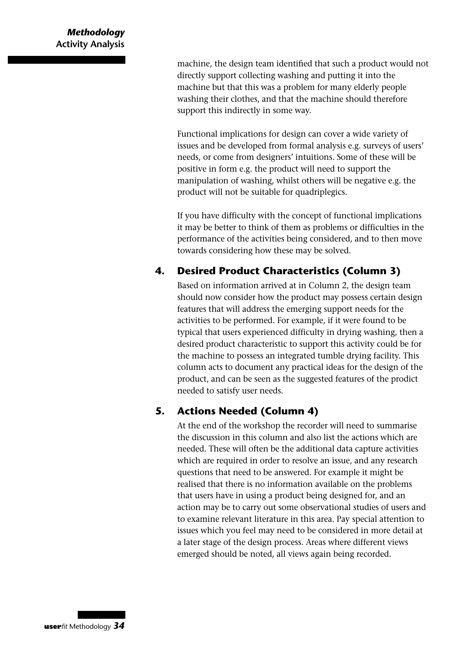machine, the design team identified that such a product would not directly support collecting washing and putting it into the machine but that this was a problem for many elderly people washing their clothes, and that the machine should therefore support this indirectly in some way.

Functional implications for design can cover a wide variety of issues and be developed from formal analysis e.g. surveys of users' needs, or come from designers' intuitions. Some of these will be positive in form e.g. the product will need to support the manipulation of washing, whilst others will be negative e.g. the product will not be suitable for quadriplegics.

If you have difficulty with the concept of functional implications it may be better to think of them as problems or difficulties in the performance of the activities being considered, and to then move towards considering how these may be solved.

#### **4. Desired Product Characteristics (Column 3)**

Based on information arrived at in Column 2, the design team should now consider how the product may possess certain design features that will address the emerging support needs for the activities to be performed. For example, if it were found to be typical that users experienced difficulty in drying washing, then a desired product characteristic to support this activity could be for the machine to possess an integrated tumble drying facility. This column acts to document any practical ideas for the design of the product, and can be seen as the suggested features of the prodict needed to satisfy user needs.

#### **5. Actions Needed (Column 4)**

At the end of the workshop the recorder will need to summarise the discussion in this column and also list the actions which are needed. These will often be the additional data capture activities which are required in order to resolve an issue, and any research questions that need to be answered. For example it might be realised that there is no information available on the problems that users have in using a product being designed for, and an action may be to carry out some observational studies of users and to examine relevant literature in this area. Pay special attention to issues which you feel may need to be considered in more detail at a later stage of the design process. Areas where different views emerged should be noted, all views again being recorded.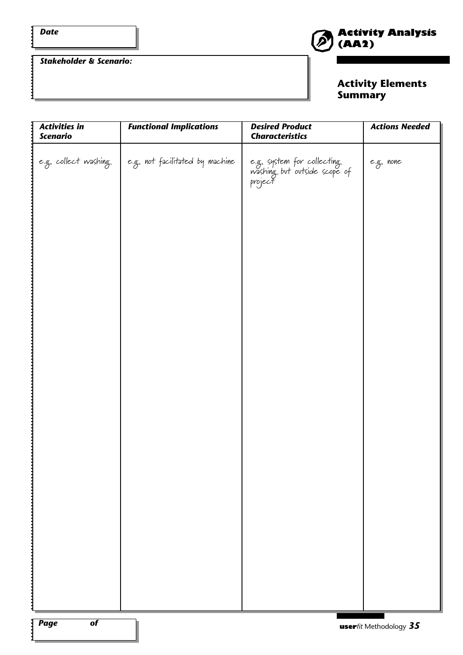:

*Stakeholder & Scenario:*



#### **Activity Elements Summary**

| e.g. collect washing<br>$\mid$ e.g. not facilitated by machine<br>e.g. system for collecting<br>washing but outside scope of<br>project<br>e.g. none | <b>Activities in</b><br><b>Scenario</b> | <b>Functional Implications</b> | <b>Desired Product</b><br><b>Characteristics</b> | <b>Actions Needed</b> |
|------------------------------------------------------------------------------------------------------------------------------------------------------|-----------------------------------------|--------------------------------|--------------------------------------------------|-----------------------|
|                                                                                                                                                      |                                         |                                |                                                  |                       |
|                                                                                                                                                      |                                         |                                |                                                  |                       |
|                                                                                                                                                      |                                         |                                |                                                  |                       |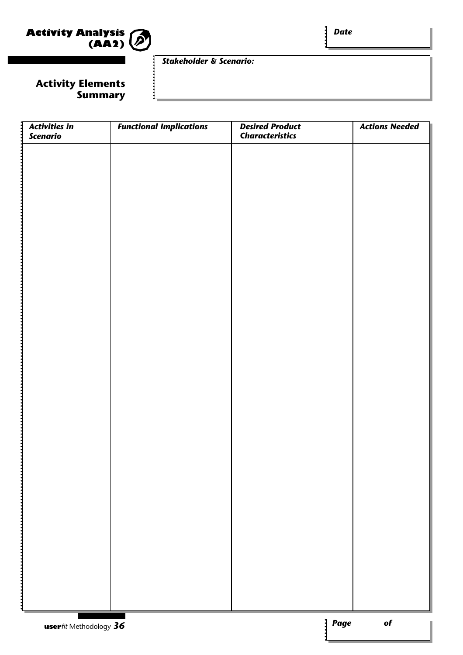

*Date*

#### *Stakeholder & Scenario:*

#### **Activity Elements Summary**

| $\frac{1}{3}$ Activities in | <b>Functional Implications</b> | <b>Desired Product</b> | <b>Actions Needed</b>                     |
|-----------------------------|--------------------------------|------------------------|-------------------------------------------|
| <b>Scenario</b>             |                                | <b>Characteristics</b> |                                           |
|                             |                                |                        |                                           |
|                             |                                |                        |                                           |
|                             |                                |                        |                                           |
|                             |                                |                        |                                           |
|                             |                                |                        |                                           |
|                             |                                |                        |                                           |
|                             |                                |                        |                                           |
|                             |                                |                        |                                           |
|                             |                                |                        |                                           |
|                             |                                |                        |                                           |
|                             |                                |                        |                                           |
|                             |                                |                        |                                           |
|                             |                                |                        |                                           |
|                             |                                |                        |                                           |
|                             |                                |                        |                                           |
|                             |                                |                        |                                           |
|                             |                                |                        |                                           |
|                             |                                |                        |                                           |
|                             |                                |                        |                                           |
|                             |                                |                        |                                           |
|                             |                                |                        |                                           |
|                             |                                |                        |                                           |
|                             |                                |                        |                                           |
|                             |                                |                        |                                           |
|                             |                                |                        |                                           |
|                             |                                |                        |                                           |
|                             |                                |                        |                                           |
|                             |                                |                        |                                           |
|                             |                                |                        |                                           |
|                             |                                |                        |                                           |
|                             |                                |                        |                                           |
|                             |                                |                        |                                           |
|                             |                                |                        |                                           |
|                             |                                |                        |                                           |
|                             |                                |                        |                                           |
|                             |                                |                        |                                           |
|                             |                                |                        |                                           |
|                             |                                |                        |                                           |
|                             |                                |                        |                                           |
|                             |                                |                        |                                           |
|                             |                                |                        |                                           |
|                             |                                |                        |                                           |
|                             |                                |                        |                                           |
|                             |                                |                        |                                           |
|                             |                                |                        | $\sqrt{\textit{Page}}$<br>$\overline{of}$ |
| userfit Methodology 36      |                                |                        |                                           |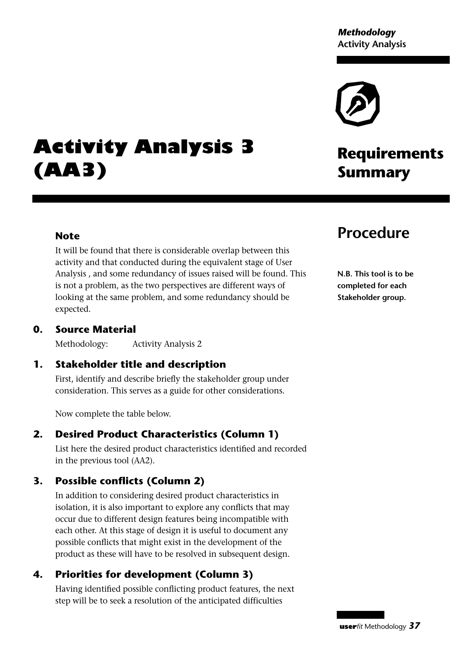*Methodology* **Activity Analysis**

## **Activity Analysis 3 (AA3)**

#### **Procedure**

**Summary**

**Requirements**

**N.B. This tool is to be completed for each Stakeholder group.**

#### **0. Source Material**

expected.

**Note**

Methodology: Activity Analysis 2

#### **1. Stakeholder title and description**

First, identify and describe briefly the stakeholder group under consideration. This serves as a guide for other considerations.

It will be found that there is considerable overlap between this activity and that conducted during the equivalent stage of User Analysis , and some redundancy of issues raised will be found. This is not a problem, as the two perspectives are different ways of looking at the same problem, and some redundancy should be

Now complete the table below.

#### **2. Desired Product Characteristics (Column 1)**

List here the desired product characteristics identified and recorded in the previous tool (AA2).

#### **3. Possible conflicts (Column 2)**

In addition to considering desired product characteristics in isolation, it is also important to explore any conflicts that may occur due to different design features being incompatible with each other. At this stage of design it is useful to document any possible conflicts that might exist in the development of the product as these will have to be resolved in subsequent design.

#### **4. Priorities for development (Column 3)**

Having identified possible conflicting product features, the next step will be to seek a resolution of the anticipated difficulties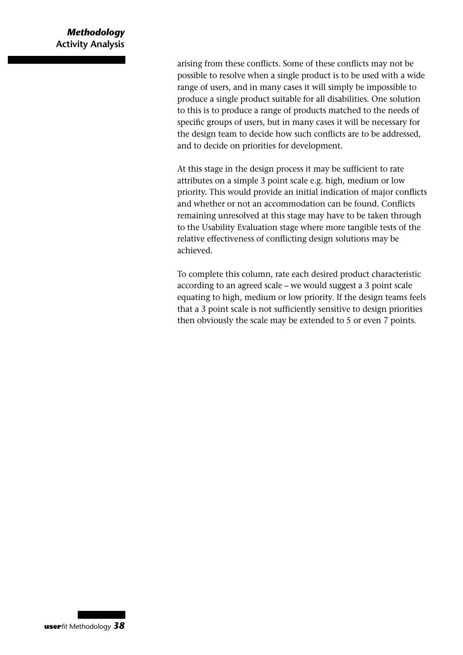#### *Methodology* **Activity Analysis**

arising from these conflicts. Some of these conflicts may not be possible to resolve when a single product is to be used with a wide range of users, and in many cases it will simply be impossible to produce a single product suitable for all disabilities. One solution to this is to produce a range of products matched to the needs of specific groups of users, but in many cases it will be necessary for the design team to decide how such conflicts are to be addressed, and to decide on priorities for development.

At this stage in the design process it may be sufficient to rate attributes on a simple 3 point scale e.g. high, medium or low priority. This would provide an initial indication of major conflicts and whether or not an accommodation can be found. Conflicts remaining unresolved at this stage may have to be taken through to the Usability Evaluation stage where more tangible tests of the relative effectiveness of conflicting design solutions may be achieved.

To complete this column, rate each desired product characteristic according to an agreed scale – we would suggest a 3 point scale equating to high, medium or low priority. If the design teams feels that a 3 point scale is not sufficiently sensitive to design priorities then obviously the scale may be extended to 5 or even 7 points.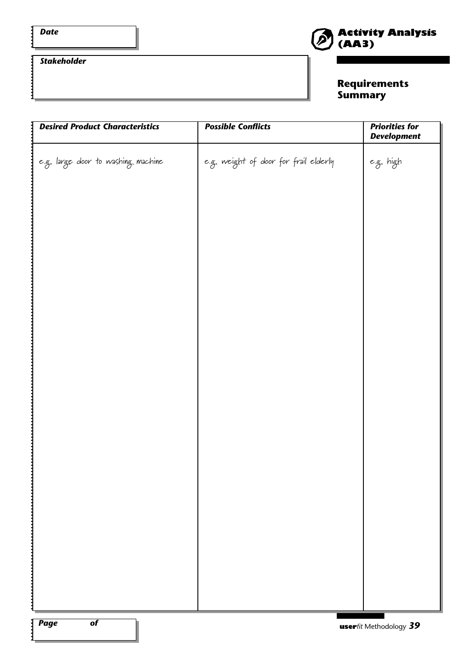$\vdots$ 

#### *Stakeholder*



#### **Requirements Summary**

| <b>Desired Product Characteristics</b> | <b>Possible Conflicts</b>             | <b>Priorities for</b><br><b>Development</b> |
|----------------------------------------|---------------------------------------|---------------------------------------------|
| e.g. large door to washing machine     | e.g. weight of door for frail elderly | e.g. high                                   |
|                                        |                                       |                                             |
|                                        |                                       |                                             |
|                                        |                                       |                                             |
|                                        |                                       |                                             |
|                                        |                                       |                                             |
|                                        |                                       |                                             |
|                                        |                                       |                                             |
|                                        |                                       |                                             |
|                                        |                                       |                                             |
|                                        |                                       |                                             |
|                                        |                                       |                                             |
|                                        |                                       |                                             |
|                                        |                                       |                                             |
|                                        |                                       |                                             |
|                                        |                                       |                                             |
| $\overline{of}$<br><b>Page</b>         |                                       | $\mathbf{u}$ serfit Methodology 39          |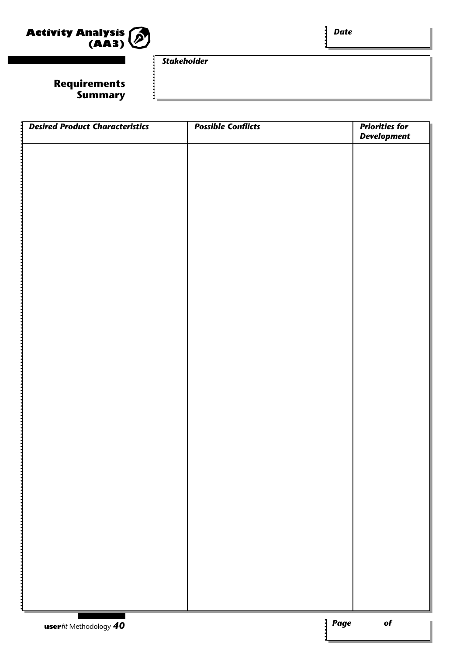

 $\mathbf{i}$ 

#### **Requirements Summary**

*Stakeholder*

| <b>Desired Product Characteristics</b> | <b>Possible Conflicts</b> | <b>Priorities for</b><br><b>Development</b> |
|----------------------------------------|---------------------------|---------------------------------------------|
|                                        |                           |                                             |
|                                        |                           |                                             |
|                                        |                           |                                             |
|                                        |                           |                                             |
|                                        |                           |                                             |
|                                        |                           |                                             |
|                                        |                           |                                             |
|                                        |                           |                                             |
|                                        |                           |                                             |
|                                        |                           |                                             |
|                                        |                           |                                             |
|                                        |                           |                                             |
|                                        |                           |                                             |
|                                        |                           |                                             |
|                                        |                           |                                             |
|                                        |                           |                                             |
|                                        |                           |                                             |
|                                        |                           |                                             |
|                                        |                           |                                             |
|                                        |                           |                                             |
|                                        |                           |                                             |
|                                        |                           |                                             |
|                                        |                           |                                             |
|                                        |                           |                                             |
|                                        |                           |                                             |
|                                        |                           |                                             |
| userfit Methodology 40                 |                           | <b>Page</b><br>$\overline{of}$              |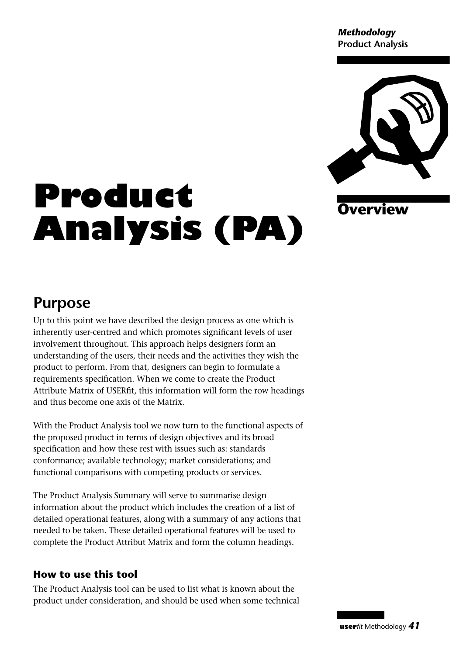*Methodology* **Product Analysis**



#### **Overview**

# **Product Analysis (PA)**

## **Purpose**

Up to this point we have described the design process as one which is inherently user-centred and which promotes significant levels of user involvement throughout. This approach helps designers form an understanding of the users, their needs and the activities they wish the product to perform. From that, designers can begin to formulate a requirements specification. When we come to create the Product Attribute Matrix of USERfit, this information will form the row headings and thus become one axis of the Matrix.

With the Product Analysis tool we now turn to the functional aspects of the proposed product in terms of design objectives and its broad specification and how these rest with issues such as: standards conformance; available technology; market considerations; and functional comparisons with competing products or services.

The Product Analysis Summary will serve to summarise design information about the product which includes the creation of a list of detailed operational features, along with a summary of any actions that needed to be taken. These detailed operational features will be used to complete the Product Attribut Matrix and form the column headings.

#### **How to use this tool**

The Product Analysis tool can be used to list what is known about the product under consideration, and should be used when some technical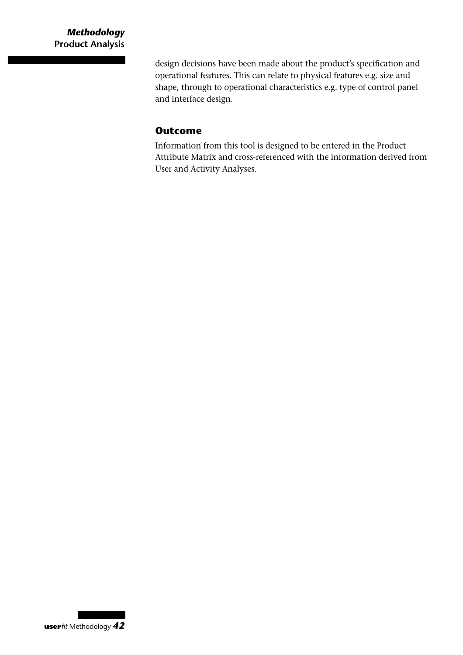design decisions have been made about the product's specification and operational features. This can relate to physical features e.g. size and shape, through to operational characteristics e.g. type of control panel and interface design.

#### **Outcome**

Information from this tool is designed to be entered in the Product Attribute Matrix and cross-referenced with the information derived from User and Activity Analyses.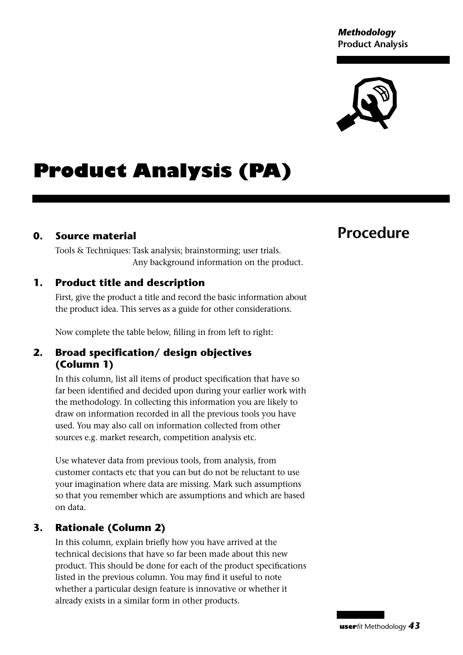*Methodology* **Product Analysis**



## **Product Analysis (PA)**

#### **0. Source material**

Tools & Techniques: Task analysis; brainstorming; user trials. Any background information on the product.

#### **1. Product title and description**

First, give the product a title and record the basic information about the product idea. This serves as a guide for other considerations.

Now complete the table below, filling in from left to right:

#### **2. Broad specification/ design objectives (Column 1)**

In this column, list all items of product specification that have so far been identified and decided upon during your earlier work with the methodology. In collecting this information you are likely to draw on information recorded in all the previous tools you have used. You may also call on information collected from other sources e.g. market research, competition analysis etc.

Use whatever data from previous tools, from analysis, from customer contacts etc that you can but do not be reluctant to use your imagination where data are missing. Mark such assumptions so that you remember which are assumptions and which are based on data.

#### **3. Rationale (Column 2)**

In this column, explain briefly how you have arrived at the technical decisions that have so far been made about this new product. This should be done for each of the product specifications listed in the previous column. You may find it useful to note whether a particular design feature is innovative or whether it already exists in a similar form in other products.

### **Procedure**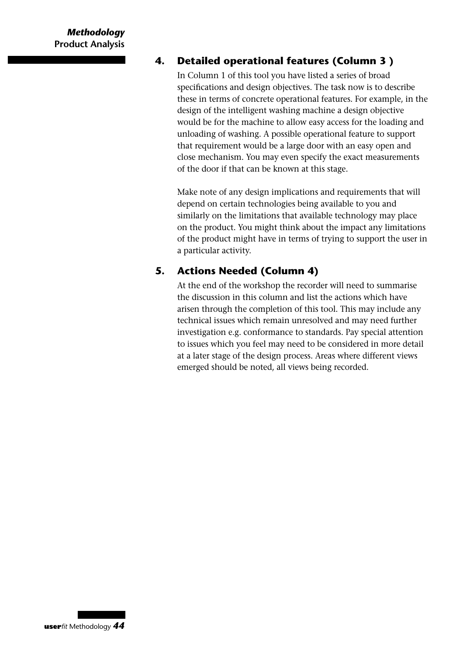#### **4. Detailed operational features (Column 3 )**

In Column 1 of this tool you have listed a series of broad specifications and design objectives. The task now is to describe these in terms of concrete operational features. For example, in the design of the intelligent washing machine a design objective would be for the machine to allow easy access for the loading and unloading of washing. A possible operational feature to support that requirement would be a large door with an easy open and close mechanism. You may even specify the exact measurements of the door if that can be known at this stage.

Make note of any design implications and requirements that will depend on certain technologies being available to you and similarly on the limitations that available technology may place on the product. You might think about the impact any limitations of the product might have in terms of trying to support the user in a particular activity.

#### **5. Actions Needed (Column 4)**

At the end of the workshop the recorder will need to summarise the discussion in this column and list the actions which have arisen through the completion of this tool. This may include any technical issues which remain unresolved and may need further investigation e.g. conformance to standards. Pay special attention to issues which you feel may need to be considered in more detail at a later stage of the design process. Areas where different views emerged should be noted, all views being recorded.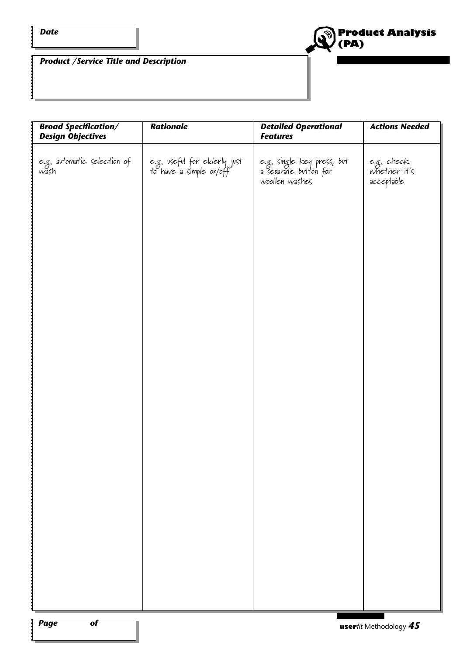$\ddot{\cdot}$ 

 $\vdots$ 



*Product /Service Title and Description*

| <b>Broad Specification/</b><br><b>Design Objectives</b> | <b>Rationale</b>                                        | <b>Detailed Operational</b><br><b>Features</b>                        | <b>Actions Needed</b>                    |
|---------------------------------------------------------|---------------------------------------------------------|-----------------------------------------------------------------------|------------------------------------------|
| e.g. avtomatic selection of<br>wash                     | e.g. vseful for elderly just<br>to have a simple on/off | e.g. single key press, but<br>a separate button for<br>woollen washes | e.g. check<br>whether it's<br>acceptable |
|                                                         |                                                         |                                                                       |                                          |
|                                                         |                                                         |                                                                       |                                          |
|                                                         |                                                         |                                                                       |                                          |
|                                                         |                                                         |                                                                       |                                          |
|                                                         |                                                         |                                                                       |                                          |
|                                                         |                                                         |                                                                       |                                          |
|                                                         |                                                         |                                                                       |                                          |
|                                                         |                                                         |                                                                       |                                          |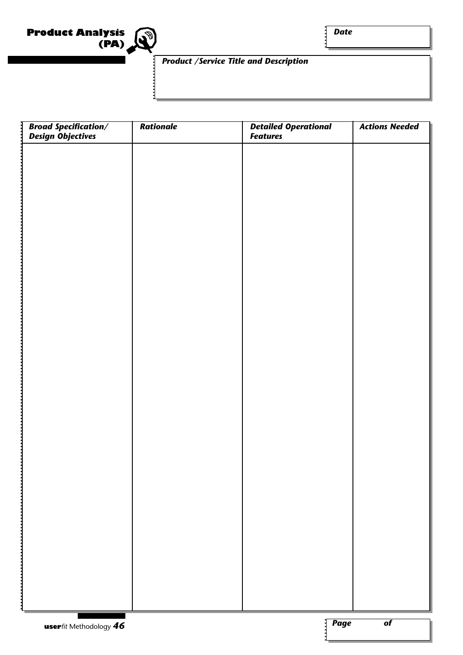

*Date*

#### *Product /Service Title and Description*

| Broad Specification/<br>Design Objectives | <b>Rationale</b> | Detailed Operational<br>Features | <b>Actions Needed</b> |
|-------------------------------------------|------------------|----------------------------------|-----------------------|
|                                           |                  |                                  |                       |
|                                           |                  |                                  |                       |
|                                           |                  |                                  |                       |
|                                           |                  |                                  |                       |
|                                           |                  |                                  |                       |
|                                           |                  |                                  |                       |
|                                           |                  |                                  |                       |
|                                           |                  |                                  |                       |
|                                           |                  |                                  |                       |
|                                           |                  |                                  |                       |
|                                           |                  |                                  |                       |
|                                           |                  |                                  |                       |
|                                           |                  |                                  |                       |
|                                           |                  |                                  |                       |
|                                           |                  |                                  |                       |
|                                           |                  |                                  |                       |
|                                           |                  |                                  |                       |
|                                           |                  |                                  |                       |
|                                           |                  |                                  |                       |
|                                           |                  |                                  |                       |
|                                           |                  |                                  |                       |
|                                           |                  |                                  |                       |
|                                           |                  |                                  |                       |
|                                           |                  |                                  |                       |
| <b>USerfit Methodology 46</b>             |                  | $: \fbox{Page}$                  | $\overline{of}$       |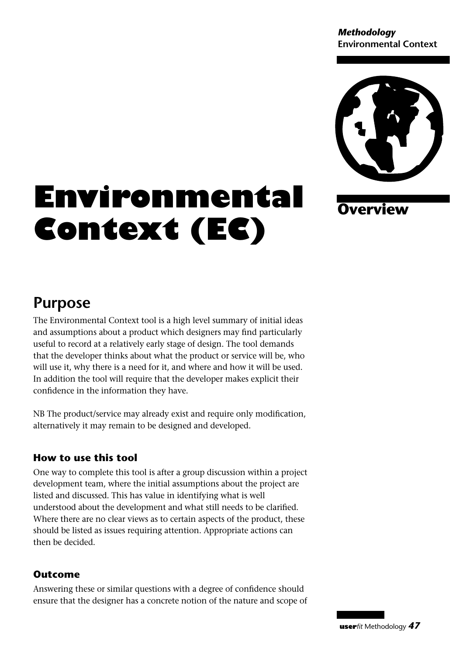*Methodology* **Environmental Context**



**Overview**

# **Environmental Context (EC)**

### **Purpose**

The Environmental Context tool is a high level summary of initial ideas and assumptions about a product which designers may find particularly useful to record at a relatively early stage of design. The tool demands that the developer thinks about what the product or service will be, who will use it, why there is a need for it, and where and how it will be used. In addition the tool will require that the developer makes explicit their confidence in the information they have.

NB The product/service may already exist and require only modification, alternatively it may remain to be designed and developed.

#### **How to use this tool**

One way to complete this tool is after a group discussion within a project development team, where the initial assumptions about the project are listed and discussed. This has value in identifying what is well understood about the development and what still needs to be clarified. Where there are no clear views as to certain aspects of the product, these should be listed as issues requiring attention. Appropriate actions can then be decided.

#### **Outcome**

Answering these or similar questions with a degree of confidence should ensure that the designer has a concrete notion of the nature and scope of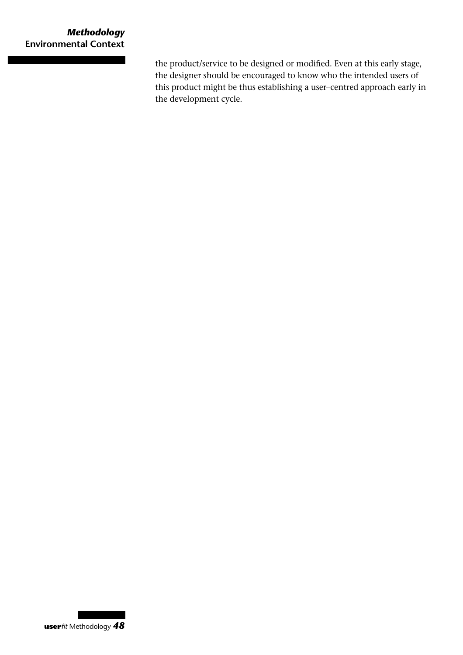the product/service to be designed or modified. Even at this early stage, the designer should be encouraged to know who the intended users of this product might be thus establishing a user–centred approach early in the development cycle.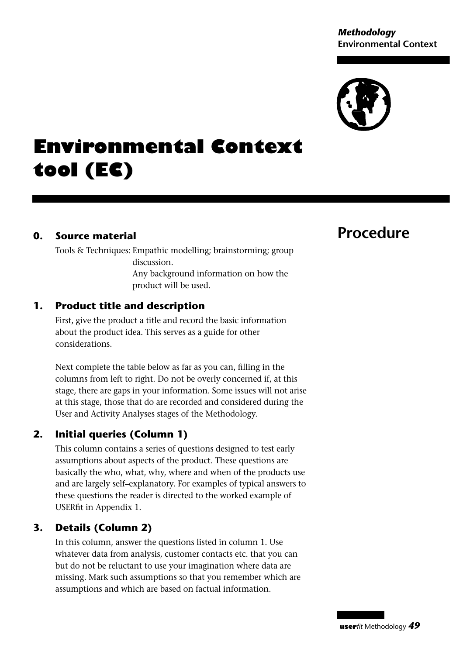#### *Methodology* **Environmental Context**



## **Environmental Context tool (EC)**

#### **0. Source material**

Tools & Techniques: Empathic modelling; brainstorming; group discussion. Any background information on how the product will be used.

#### **1. Product title and description**

First, give the product a title and record the basic information about the product idea. This serves as a guide for other considerations.

Next complete the table below as far as you can, filling in the columns from left to right. Do not be overly concerned if, at this stage, there are gaps in your information. Some issues will not arise at this stage, those that do are recorded and considered during the User and Activity Analyses stages of the Methodology.

#### **2. Initial queries (Column 1)**

This column contains a series of questions designed to test early assumptions about aspects of the product. These questions are basically the who, what, why, where and when of the products use and are largely self–explanatory. For examples of typical answers to these questions the reader is directed to the worked example of USERfit in Appendix 1.

#### **3. Details (Column 2)**

In this column, answer the questions listed in column 1. Use whatever data from analysis, customer contacts etc. that you can but do not be reluctant to use your imagination where data are missing. Mark such assumptions so that you remember which are assumptions and which are based on factual information.

#### **Procedure**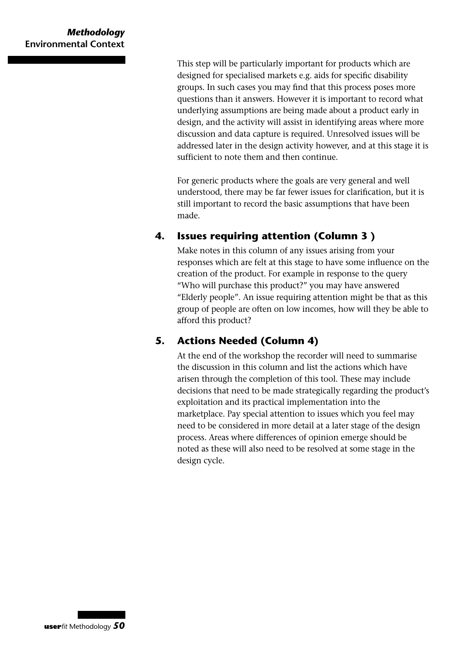This step will be particularly important for products which are designed for specialised markets e.g. aids for specific disability groups. In such cases you may find that this process poses more questions than it answers. However it is important to record what underlying assumptions are being made about a product early in design, and the activity will assist in identifying areas where more discussion and data capture is required. Unresolved issues will be addressed later in the design activity however, and at this stage it is sufficient to note them and then continue.

For generic products where the goals are very general and well understood, there may be far fewer issues for clarification, but it is still important to record the basic assumptions that have been made.

#### **4. Issues requiring attention (Column 3 )**

Make notes in this column of any issues arising from your responses which are felt at this stage to have some influence on the creation of the product. For example in response to the query "Who will purchase this product?" you may have answered "Elderly people". An issue requiring attention might be that as this group of people are often on low incomes, how will they be able to afford this product?

#### **5. Actions Needed (Column 4)**

At the end of the workshop the recorder will need to summarise the discussion in this column and list the actions which have arisen through the completion of this tool. These may include decisions that need to be made strategically regarding the product's exploitation and its practical implementation into the marketplace. Pay special attention to issues which you feel may need to be considered in more detail at a later stage of the design process. Areas where differences of opinion emerge should be noted as these will also need to be resolved at some stage in the design cycle.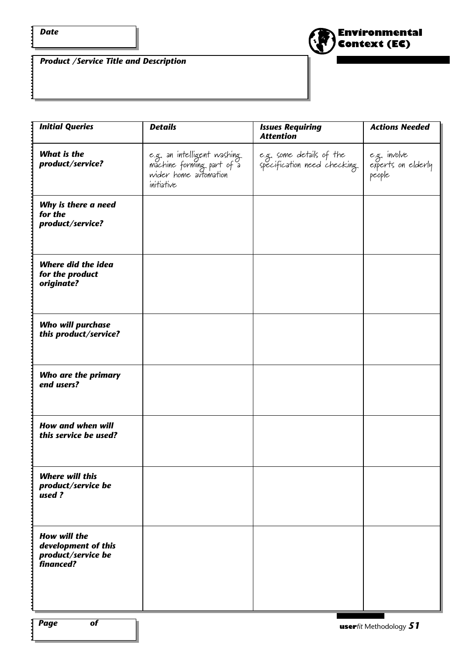$\ddot{\cdot}$ 

 $\mathbf{i}$ 



*Product /Service Title and Description*

| <b>Initial Queries</b>                                                        | <b>Details</b>                                                                                  | <b>Issues Requiring</b><br><b>Attention</b>              | <b>Actions Needed</b>                        |
|-------------------------------------------------------------------------------|-------------------------------------------------------------------------------------------------|----------------------------------------------------------|----------------------------------------------|
| <b>What is the</b><br>product/service?                                        | e.g. an intelligent washing<br>machine forming part of a<br>wider home automation<br>initiative | e.g. some details of the<br>specification need checking. | e.g. involve<br>experts on elderly<br>people |
| Why is there a need<br>for the<br>product/service?                            |                                                                                                 |                                                          |                                              |
| <b>Where did the idea</b><br>for the product<br>originate?                    |                                                                                                 |                                                          |                                              |
| <b>Who will purchase</b><br>this product/service?                             |                                                                                                 |                                                          |                                              |
| Who are the primary<br>end users?                                             |                                                                                                 |                                                          |                                              |
| <b>How and when will</b><br>this service be used?                             |                                                                                                 |                                                          |                                              |
| <b>Where will this</b><br>product/service be<br>used?                         |                                                                                                 |                                                          |                                              |
| <b>How will the</b><br>development of this<br>product/service be<br>financed? |                                                                                                 |                                                          |                                              |
|                                                                               |                                                                                                 |                                                          |                                              |
| $\overline{of}$<br>:  Page                                                    |                                                                                                 |                                                          | $\frac{1}{2}$                                |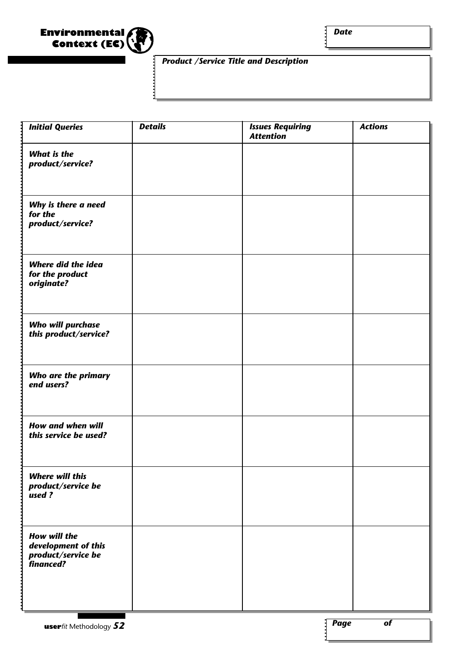

*Date*

#### *Product /Service Title and Description*

| <b>Initial Queries</b>                                                      | <b>Details</b> | <b>Issues Requiring</b><br><b>Attention</b> | <b>Actions</b> |
|-----------------------------------------------------------------------------|----------------|---------------------------------------------|----------------|
| <b>What is the</b><br>product/service?                                      |                |                                             |                |
| Why is there a need<br>for the<br>product/service?                          |                |                                             |                |
| <b>Where did the idea</b><br>for the product<br>originate?                  |                |                                             |                |
| <b>Who will purchase</b><br>this product/service?                           |                |                                             |                |
| Who are the primary<br>end users?                                           |                |                                             |                |
| <b>How and when will</b><br>this service be used?                           |                |                                             |                |
| <b>Where will this</b><br>product/service be<br>used?                       |                |                                             |                |
| How will the<br>development of this<br>product/service be<br>.<br>financed? |                |                                             |                |

1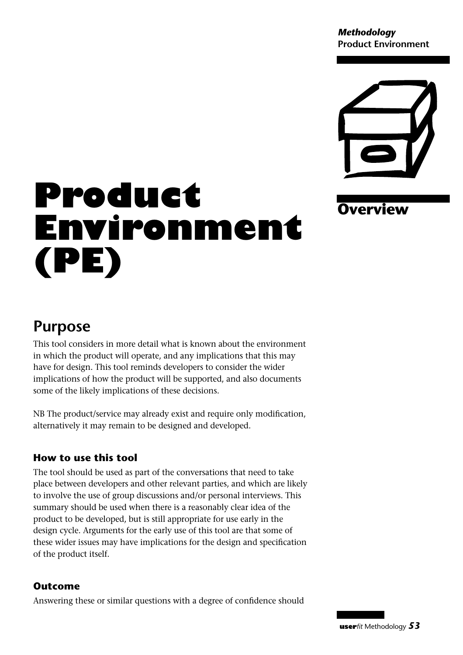*Methodology* **Product Environment**



**Overview**

# **Product Environment (PE)**

## **Purpose**

This tool considers in more detail what is known about the environment in which the product will operate, and any implications that this may have for design. This tool reminds developers to consider the wider implications of how the product will be supported, and also documents some of the likely implications of these decisions.

NB The product/service may already exist and require only modification, alternatively it may remain to be designed and developed.

#### **How to use this tool**

The tool should be used as part of the conversations that need to take place between developers and other relevant parties, and which are likely to involve the use of group discussions and/or personal interviews. This summary should be used when there is a reasonably clear idea of the product to be developed, but is still appropriate for use early in the design cycle. Arguments for the early use of this tool are that some of these wider issues may have implications for the design and specification of the product itself.

#### **Outcome**

Answering these or similar questions with a degree of confidence should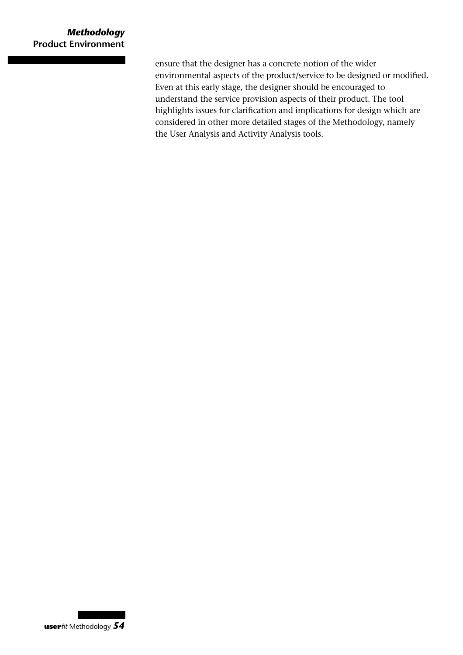ensure that the designer has a concrete notion of the wider environmental aspects of the product/service to be designed or modified. Even at this early stage, the designer should be encouraged to understand the service provision aspects of their product. The tool highlights issues for clarification and implications for design which are considered in other more detailed stages of the Methodology, namely the User Analysis and Activity Analysis tools.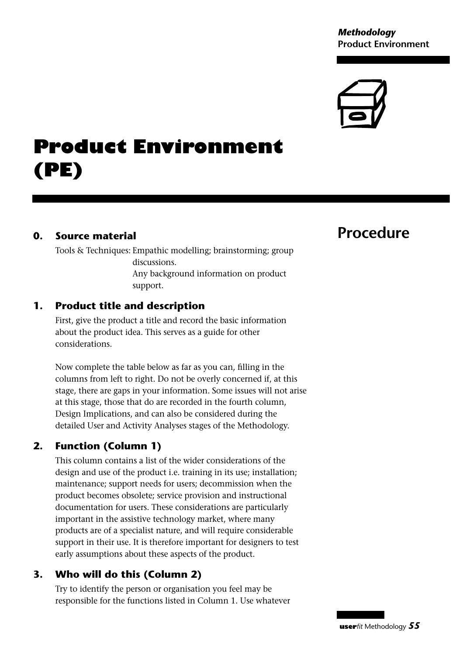#### *Methodology* **Product Environment**



## **Product Environment (PE)**

#### **0. Source material**

Tools & Techniques: Empathic modelling; brainstorming; group discussions. Any background information on product support.

#### **1. Product title and description**

First, give the product a title and record the basic information about the product idea. This serves as a guide for other considerations.

Now complete the table below as far as you can, filling in the columns from left to right. Do not be overly concerned if, at this stage, there are gaps in your information. Some issues will not arise at this stage, those that do are recorded in the fourth column, Design Implications, and can also be considered during the detailed User and Activity Analyses stages of the Methodology.

#### **2. Function (Column 1)**

This column contains a list of the wider considerations of the design and use of the product i.e. training in its use; installation; maintenance; support needs for users; decommission when the product becomes obsolete; service provision and instructional documentation for users. These considerations are particularly important in the assistive technology market, where many products are of a specialist nature, and will require considerable support in their use. It is therefore important for designers to test early assumptions about these aspects of the product.

#### **3. Who will do this (Column 2)**

Try to identify the person or organisation you feel may be responsible for the functions listed in Column 1. Use whatever

### **Procedure**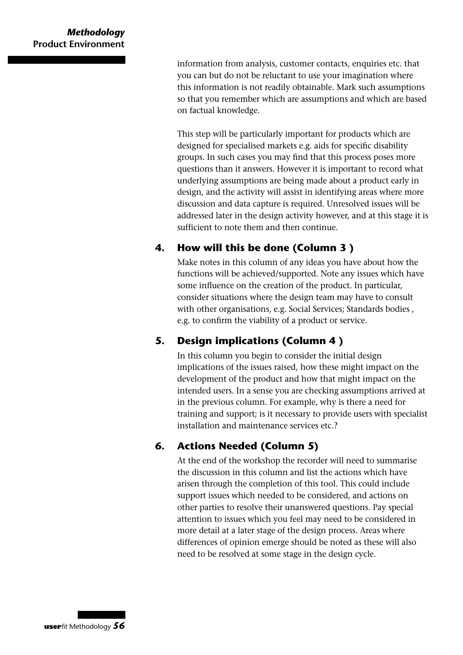#### *Methodology* **Product Environment**

information from analysis, customer contacts, enquiries etc. that you can but do not be reluctant to use your imagination where this information is not readily obtainable. Mark such assumptions so that you remember which are assumptions and which are based on factual knowledge.

This step will be particularly important for products which are designed for specialised markets e.g. aids for specific disability groups. In such cases you may find that this process poses more questions than it answers. However it is important to record what underlying assumptions are being made about a product early in design, and the activity will assist in identifying areas where more discussion and data capture is required. Unresolved issues will be addressed later in the design activity however, and at this stage it is sufficient to note them and then continue.

#### **4. How will this be done (Column 3 )**

Make notes in this column of any ideas you have about how the functions will be achieved/supported. Note any issues which have some influence on the creation of the product. In particular, consider situations where the design team may have to consult with other organisations, e.g. Social Services; Standards bodies , e.g. to confirm the viability of a product or service.

#### **5. Design implications (Column 4 )**

In this column you begin to consider the initial design implications of the issues raised, how these might impact on the development of the product and how that might impact on the intended users. In a sense you are checking assumptions arrived at in the previous column. For example, why is there a need for training and support; is it necessary to provide users with specialist installation and maintenance services etc.?

#### **6. Actions Needed (Column 5)**

At the end of the workshop the recorder will need to summarise the discussion in this column and list the actions which have arisen through the completion of this tool. This could include support issues which needed to be considered, and actions on other parties to resolve their unanswered questions. Pay special attention to issues which you feel may need to be considered in more detail at a later stage of the design process. Areas where differences of opinion emerge should be noted as these will also need to be resolved at some stage in the design cycle.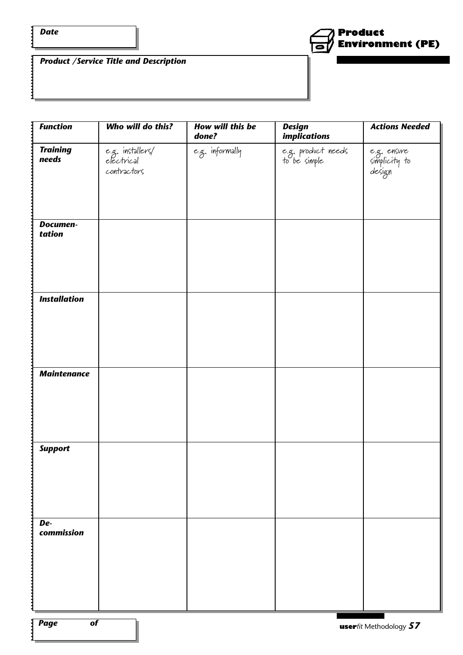*Date*

 $\ddot{\cdot}$ 

 $\frac{1}{2}$ 



*Product /Service Title and Description*

| <b>Function</b>           | Who will do this?                             | How will this be<br>done? | <b>Design</b><br><i>implications</i> | <b>Actions Needed</b>                  |
|---------------------------|-----------------------------------------------|---------------------------|--------------------------------------|----------------------------------------|
| <b>Training</b><br>needs  | e.g. installers/<br>electrical<br>contractors | e.g. informally           | e.g. product needs<br>to be simple   | e.g. ensure<br>simplicity to<br>design |
| <b>Documen-</b><br>tation |                                               |                           |                                      |                                        |
| <b>Installation</b>       |                                               |                           |                                      |                                        |
| <b>Maintenance</b>        |                                               |                           |                                      |                                        |
| <b>Support</b>            |                                               |                           |                                      |                                        |
| De-<br>commission         |                                               |                           |                                      |                                        |

*Page of*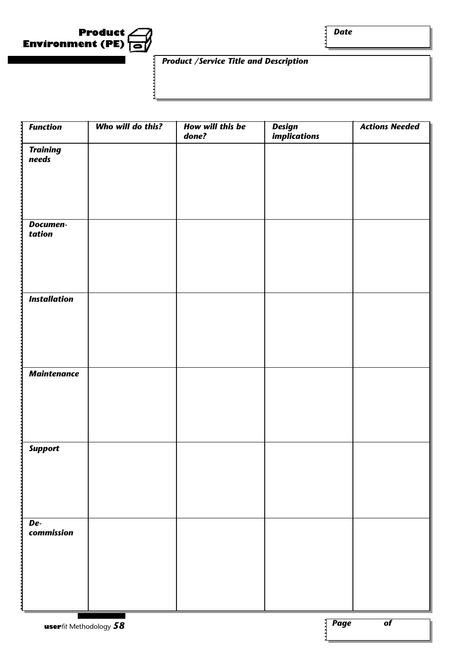

*Date*

#### *Product /Service Title and Description*

| <b>Function</b>          | Who will do this? | How will this be<br>done? | Design<br>implications | <b>Actions Needed</b> |
|--------------------------|-------------------|---------------------------|------------------------|-----------------------|
| <b>Training</b><br>needs |                   |                           |                        |                       |
|                          |                   |                           |                        |                       |
| Documen-<br>tation       |                   |                           |                        |                       |
| <b>Installation</b>      |                   |                           |                        |                       |
|                          |                   |                           |                        |                       |
| <b>Maintenance</b>       |                   |                           |                        |                       |
| <b>Support</b>           |                   |                           |                        |                       |
|                          |                   |                           |                        |                       |
| De-<br>commission        |                   |                           |                        |                       |
|                          |                   |                           |                        |                       |

1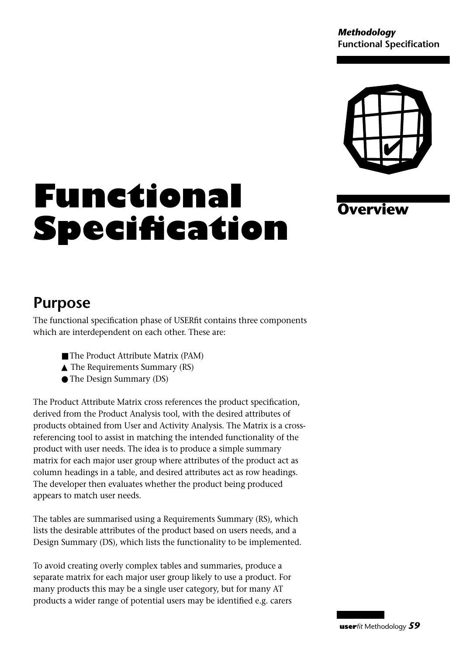*Methodology* **Functional Specification**



**Overview**

# **Functional Specification**

## **Purpose**

The functional specification phase of USERfit contains three components which are interdependent on each other. These are:

- The Product Attribute Matrix (PAM)
- ▲ The Requirements Summary (RS)
- The Design Summary (DS)

The Product Attribute Matrix cross references the product specification, derived from the Product Analysis tool, with the desired attributes of products obtained from User and Activity Analysis. The Matrix is a crossreferencing tool to assist in matching the intended functionality of the product with user needs. The idea is to produce a simple summary matrix for each major user group where attributes of the product act as column headings in a table, and desired attributes act as row headings. The developer then evaluates whether the product being produced appears to match user needs.

The tables are summarised using a Requirements Summary (RS), which lists the desirable attributes of the product based on users needs, and a Design Summary (DS), which lists the functionality to be implemented.

To avoid creating overly complex tables and summaries, produce a separate matrix for each major user group likely to use a product. For many products this may be a single user category, but for many AT products a wider range of potential users may be identified e.g. carers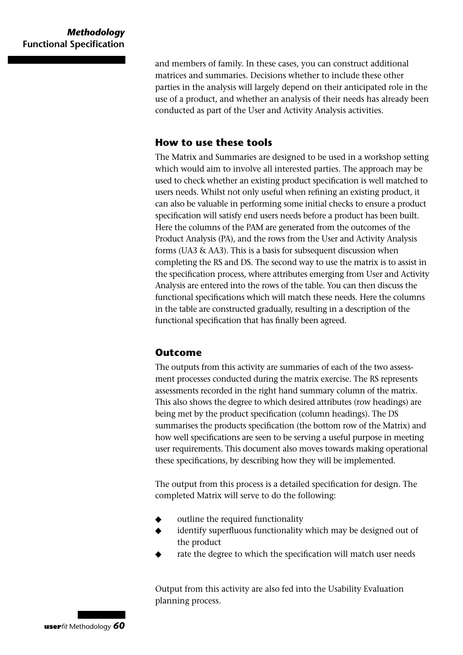and members of family. In these cases, you can construct additional matrices and summaries. Decisions whether to include these other parties in the analysis will largely depend on their anticipated role in the use of a product, and whether an analysis of their needs has already been conducted as part of the User and Activity Analysis activities.

#### **How to use these tools**

The Matrix and Summaries are designed to be used in a workshop setting which would aim to involve all interested parties. The approach may be used to check whether an existing product specification is well matched to users needs. Whilst not only useful when refining an existing product, it can also be valuable in performing some initial checks to ensure a product specification will satisfy end users needs before a product has been built. Here the columns of the PAM are generated from the outcomes of the Product Analysis (PA), and the rows from the User and Activity Analysis forms (UA3 & AA3). This is a basis for subsequent discussion when completing the RS and DS. The second way to use the matrix is to assist in the specification process, where attributes emerging from User and Activity Analysis are entered into the rows of the table. You can then discuss the functional specifications which will match these needs. Here the columns in the table are constructed gradually, resulting in a description of the functional specification that has finally been agreed.

#### **Outcome**

The outputs from this activity are summaries of each of the two assessment processes conducted during the matrix exercise. The RS represents assessments recorded in the right hand summary column of the matrix. This also shows the degree to which desired attributes (row headings) are being met by the product specification (column headings). The DS summarises the products specification (the bottom row of the Matrix) and how well specifications are seen to be serving a useful purpose in meeting user requirements. This document also moves towards making operational these specifications, by describing how they will be implemented.

The output from this process is a detailed specification for design. The completed Matrix will serve to do the following:

- outline the required functionality
- identify superfluous functionality which may be designed out of the product
- rate the degree to which the specification will match user needs

Output from this activity are also fed into the Usability Evaluation planning process.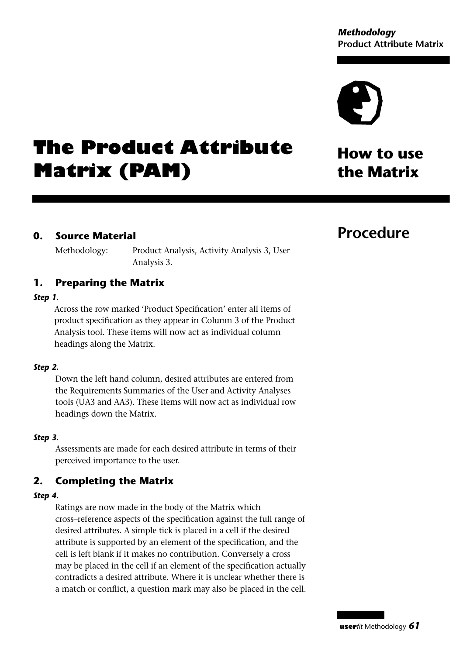## **The Product Attribute Matrix (PAM)**

## **How to use the Matrix**

#### **0. Source Material**

Methodology: Product Analysis, Activity Analysis 3, User Analysis 3.

#### **1. Preparing the Matrix**

#### *Step 1.*

Across the row marked 'Product Specification' enter all items of product specification as they appear in Column 3 of the Product Analysis tool. These items will now act as individual column headings along the Matrix.

#### *Step 2.*

Down the left hand column, desired attributes are entered from the Requirements Summaries of the User and Activity Analyses tools (UA3 and AA3). These items will now act as individual row headings down the Matrix.

#### *Step 3.*

Assessments are made for each desired attribute in terms of their perceived importance to the user.

#### **2. Completing the Matrix**

#### *Step 4.*

Ratings are now made in the body of the Matrix which cross–reference aspects of the specification against the full range of desired attributes. A simple tick is placed in a cell if the desired attribute is supported by an element of the specification, and the cell is left blank if it makes no contribution. Conversely a cross may be placed in the cell if an element of the specification actually contradicts a desired attribute. Where it is unclear whether there is a match or conflict, a question mark may also be placed in the cell.

### **Procedure**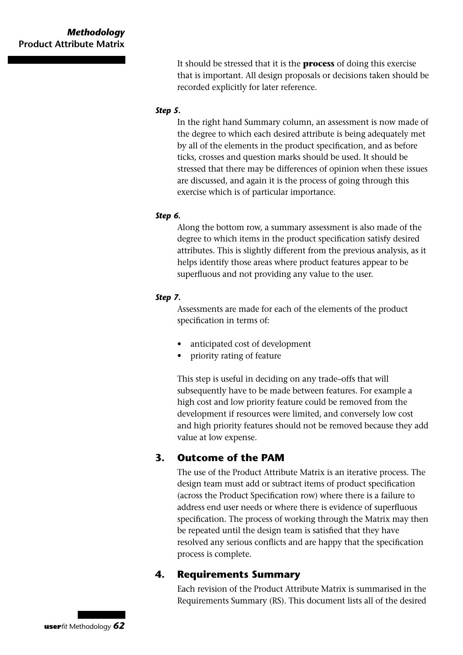#### *Methodology* **Product Attribute Matrix**

It should be stressed that it is the **process** of doing this exercise that is important. All design proposals or decisions taken should be recorded explicitly for later reference.

#### *Step 5.*

In the right hand Summary column, an assessment is now made of the degree to which each desired attribute is being adequately met by all of the elements in the product specification, and as before ticks, crosses and question marks should be used. It should be stressed that there may be differences of opinion when these issues are discussed, and again it is the process of going through this exercise which is of particular importance.

#### *Step 6.*

Along the bottom row, a summary assessment is also made of the degree to which items in the product specification satisfy desired attributes. This is slightly different from the previous analysis, as it helps identify those areas where product features appear to be superfluous and not providing any value to the user.

#### *Step 7.*

Assessments are made for each of the elements of the product specification in terms of:

- anticipated cost of development
- priority rating of feature

This step is useful in deciding on any trade–offs that will subsequently have to be made between features. For example a high cost and low priority feature could be removed from the development if resources were limited, and conversely low cost and high priority features should not be removed because they add value at low expense.

#### **3. Outcome of the PAM**

The use of the Product Attribute Matrix is an iterative process. The design team must add or subtract items of product specification (across the Product Specification row) where there is a failure to address end user needs or where there is evidence of superfluous specification. The process of working through the Matrix may then be repeated until the design team is satisfied that they have resolved any serious conflicts and are happy that the specification process is complete.

#### **4. Requirements Summary**

Each revision of the Product Attribute Matrix is summarised in the Requirements Summary (RS). This document lists all of the desired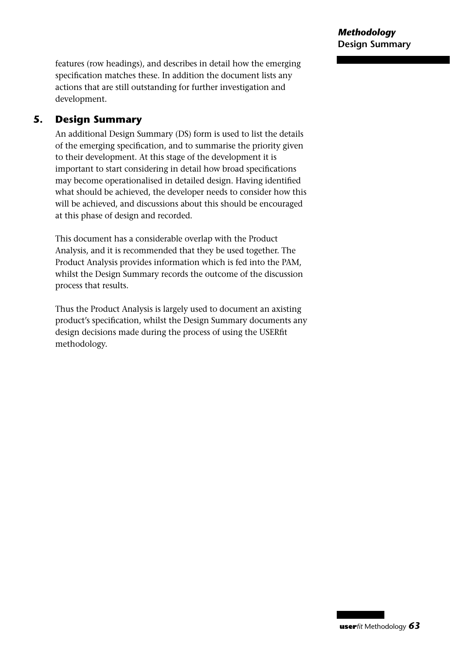features (row headings), and describes in detail how the emerging specification matches these. In addition the document lists any actions that are still outstanding for further investigation and development.

#### **5. Design Summary**

An additional Design Summary (DS) form is used to list the details of the emerging specification, and to summarise the priority given to their development. At this stage of the development it is important to start considering in detail how broad specifications may become operationalised in detailed design. Having identified what should be achieved, the developer needs to consider how this will be achieved, and discussions about this should be encouraged at this phase of design and recorded.

This document has a considerable overlap with the Product Analysis, and it is recommended that they be used together. The Product Analysis provides information which is fed into the PAM, whilst the Design Summary records the outcome of the discussion process that results.

Thus the Product Analysis is largely used to document an axisting product's specification, whilst the Design Summary documents any design decisions made during the process of using the USERfit methodology.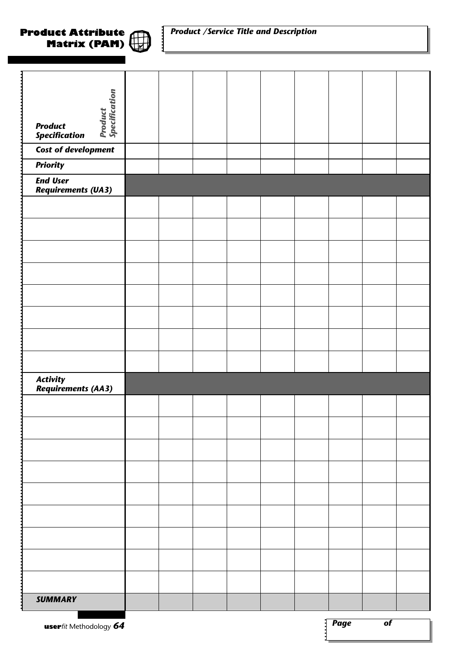#### *Product /Service Title and Description*

| Product<br>Specification               |  |  |  |  |  |
|----------------------------------------|--|--|--|--|--|
|                                        |  |  |  |  |  |
| .                                      |  |  |  |  |  |
| <b>Product</b><br><b>Specification</b> |  |  |  |  |  |
|                                        |  |  |  |  |  |
| Cost of development                    |  |  |  |  |  |
| <b>Priority</b>                        |  |  |  |  |  |
| <b>End User</b>                        |  |  |  |  |  |
| <b>Requirements (UA3)</b>              |  |  |  |  |  |
|                                        |  |  |  |  |  |
|                                        |  |  |  |  |  |
|                                        |  |  |  |  |  |
|                                        |  |  |  |  |  |
|                                        |  |  |  |  |  |
|                                        |  |  |  |  |  |
|                                        |  |  |  |  |  |
|                                        |  |  |  |  |  |
|                                        |  |  |  |  |  |
|                                        |  |  |  |  |  |
|                                        |  |  |  |  |  |
|                                        |  |  |  |  |  |
|                                        |  |  |  |  |  |
|                                        |  |  |  |  |  |
| <b>Activity<br/>Requirements (AA3)</b> |  |  |  |  |  |
|                                        |  |  |  |  |  |
|                                        |  |  |  |  |  |
|                                        |  |  |  |  |  |
|                                        |  |  |  |  |  |
|                                        |  |  |  |  |  |
|                                        |  |  |  |  |  |
|                                        |  |  |  |  |  |
|                                        |  |  |  |  |  |
|                                        |  |  |  |  |  |
|                                        |  |  |  |  |  |
|                                        |  |  |  |  |  |
|                                        |  |  |  |  |  |
|                                        |  |  |  |  |  |
|                                        |  |  |  |  |  |
|                                        |  |  |  |  |  |
|                                        |  |  |  |  |  |
| <b>SUMMARY</b><br>1                    |  |  |  |  |  |
|                                        |  |  |  |  |  |

**Product Attribute**

**Matrix (PAM)**

 $\mathbb{D}$ 

₩

.....

 $\mathbf{i}$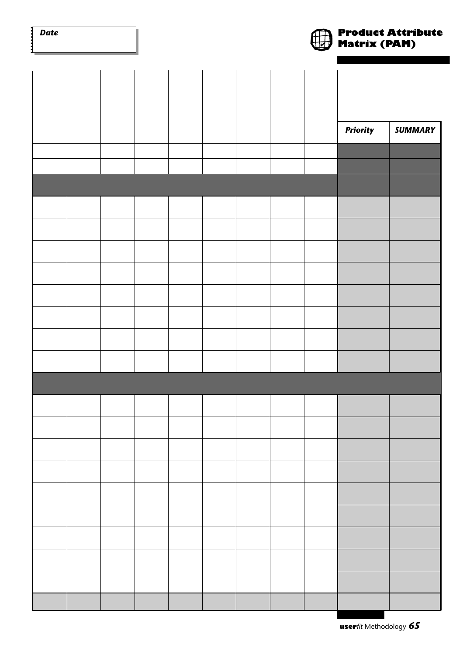| <b>Date</b><br>$\ddot{\phantom{0}}$ |  |  |  |  | <b>J</b> Matrix (PAM) | <b>Product Attribute</b> |
|-------------------------------------|--|--|--|--|-----------------------|--------------------------|
|                                     |  |  |  |  |                       |                          |
|                                     |  |  |  |  |                       |                          |
|                                     |  |  |  |  |                       |                          |
|                                     |  |  |  |  |                       |                          |
|                                     |  |  |  |  | <b>Priority</b>       | <b>SUMMARY</b>           |
|                                     |  |  |  |  |                       |                          |
|                                     |  |  |  |  |                       |                          |
|                                     |  |  |  |  |                       |                          |
|                                     |  |  |  |  |                       |                          |
|                                     |  |  |  |  |                       |                          |
|                                     |  |  |  |  |                       |                          |
|                                     |  |  |  |  |                       |                          |
|                                     |  |  |  |  |                       |                          |
|                                     |  |  |  |  |                       |                          |
|                                     |  |  |  |  |                       |                          |
|                                     |  |  |  |  |                       |                          |
|                                     |  |  |  |  |                       |                          |
|                                     |  |  |  |  |                       |                          |
|                                     |  |  |  |  |                       |                          |
|                                     |  |  |  |  |                       |                          |
|                                     |  |  |  |  |                       |                          |
|                                     |  |  |  |  |                       |                          |
|                                     |  |  |  |  |                       |                          |
|                                     |  |  |  |  |                       |                          |
|                                     |  |  |  |  |                       |                          |
|                                     |  |  |  |  |                       |                          |
|                                     |  |  |  |  |                       |                          |
|                                     |  |  |  |  |                       |                          |
|                                     |  |  |  |  |                       |                          |
|                                     |  |  |  |  |                       |                          |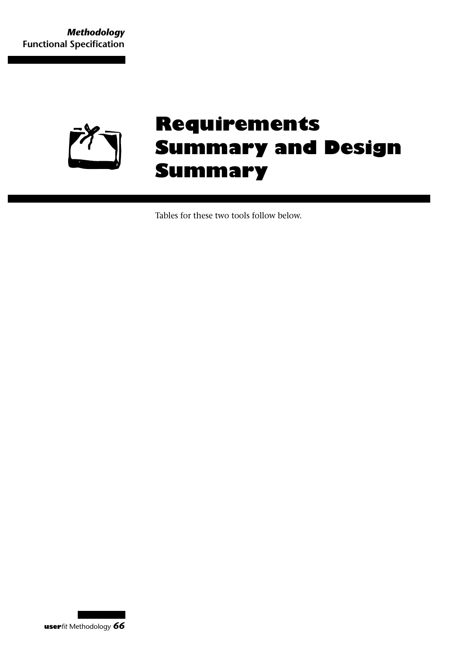

## **Requirements Summary and Design Summary**

Tables for these two tools follow below.

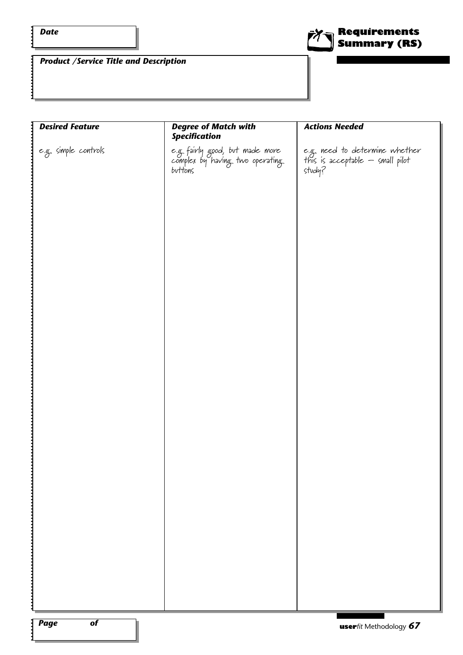$\ddot{\cdot}$ 

1



*Product /Service Title and Description*

| <b>Desired Feature</b> | <b>Degree of Match with</b><br><b>Specification</b>                            | <b>Actions Needed</b>                                                        |
|------------------------|--------------------------------------------------------------------------------|------------------------------------------------------------------------------|
| e.g. simple controls   | e.g. fairly good, but made more<br>complex by having two operating.<br>buttons | e.g. need to determine whether<br>this is acceptable — small pilot<br>study? |
|                        |                                                                                |                                                                              |
|                        |                                                                                |                                                                              |
|                        |                                                                                |                                                                              |
|                        |                                                                                |                                                                              |
|                        |                                                                                |                                                                              |
|                        |                                                                                |                                                                              |
|                        |                                                                                |                                                                              |
|                        |                                                                                |                                                                              |
|                        |                                                                                |                                                                              |
|                        |                                                                                |                                                                              |

 $\mathbf{i}$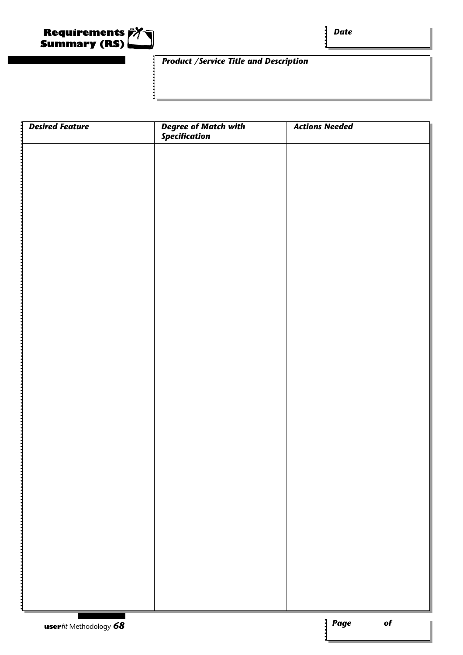

#### *Product /Service Title and Description*

| <b>Desired Feature</b><br>J. | <b>Degree of Match with<br/>Specification</b> | <b>Actions Needed</b>                          |
|------------------------------|-----------------------------------------------|------------------------------------------------|
|                              |                                               |                                                |
|                              |                                               |                                                |
|                              |                                               |                                                |
|                              |                                               |                                                |
|                              |                                               |                                                |
|                              |                                               |                                                |
|                              |                                               |                                                |
|                              |                                               |                                                |
|                              |                                               |                                                |
|                              |                                               |                                                |
|                              |                                               |                                                |
|                              |                                               |                                                |
|                              |                                               |                                                |
|                              |                                               |                                                |
|                              |                                               |                                                |
|                              |                                               |                                                |
|                              |                                               |                                                |
|                              |                                               |                                                |
|                              |                                               |                                                |
|                              |                                               |                                                |
|                              |                                               |                                                |
|                              |                                               |                                                |
|                              |                                               |                                                |
|                              |                                               |                                                |
|                              |                                               |                                                |
|                              |                                               |                                                |
|                              |                                               |                                                |
|                              |                                               |                                                |
|                              |                                               |                                                |
|                              |                                               |                                                |
| userfit Methodology 68       |                                               | $\sqrt{\frac{2}{\pi}}$ Page<br>$\overline{of}$ |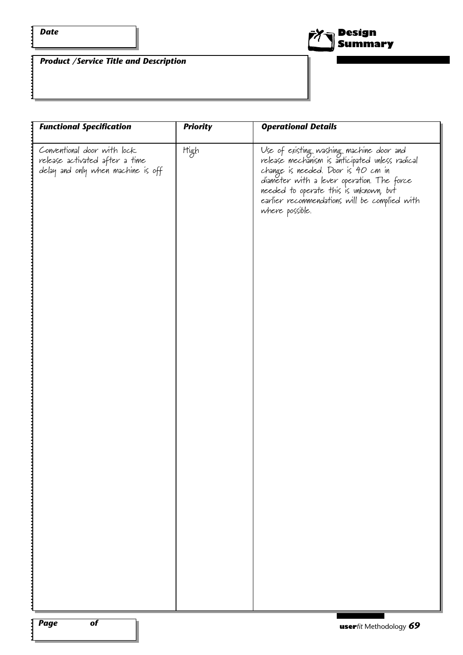$\ddot{\cdot}$ 

 $\mathbf{i}$ 



*Product /Service Title and Description*

| <b>Functional Specification</b>                                                                     | <b>Priority</b> | <b>Operational Details</b>                                                                                                                                                                                                                                                                    |
|-----------------------------------------------------------------------------------------------------|-----------------|-----------------------------------------------------------------------------------------------------------------------------------------------------------------------------------------------------------------------------------------------------------------------------------------------|
| Conventional door with lock<br>release activated after a time<br>delay and only when machine is off | High            | Use of existing washing machine door and<br>release mechanism is anticipated unless radical<br>change is needed. Door is 40 cm in<br>diameter with a lever operation. The force<br>needed to operate this is unknown, but<br>earlier recommendations will be complied with<br>where possible. |
|                                                                                                     |                 |                                                                                                                                                                                                                                                                                               |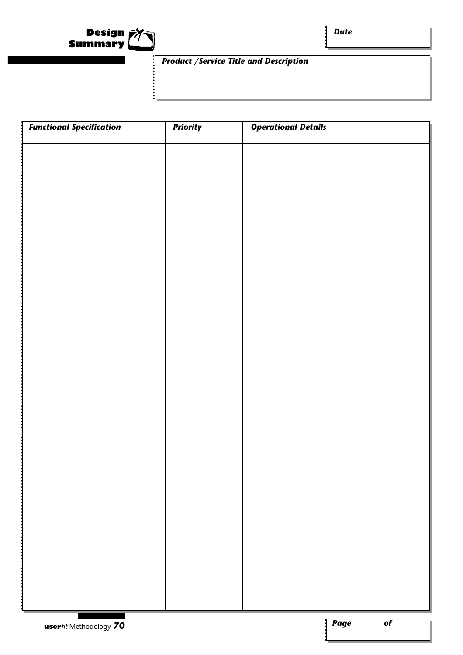

#### *Product /Service Title and Description*

| <b>Functional Specification</b> | <b>Priority</b> | <b>Operational Details</b> |                        |                 |
|---------------------------------|-----------------|----------------------------|------------------------|-----------------|
|                                 |                 |                            |                        |                 |
|                                 |                 |                            |                        |                 |
|                                 |                 |                            |                        |                 |
|                                 |                 |                            |                        |                 |
|                                 |                 |                            |                        |                 |
|                                 |                 |                            |                        |                 |
|                                 |                 |                            |                        |                 |
|                                 |                 |                            |                        |                 |
|                                 |                 |                            |                        |                 |
|                                 |                 |                            |                        |                 |
|                                 |                 |                            |                        |                 |
|                                 |                 |                            |                        |                 |
|                                 |                 |                            |                        |                 |
|                                 |                 |                            |                        |                 |
|                                 |                 |                            |                        |                 |
|                                 |                 |                            |                        |                 |
|                                 |                 |                            |                        |                 |
|                                 |                 |                            |                        |                 |
|                                 |                 |                            |                        |                 |
|                                 |                 |                            |                        |                 |
|                                 |                 |                            |                        |                 |
|                                 |                 |                            |                        |                 |
| <b>user</b> fit Methodology 70  |                 |                            | $\sqrt{\textit{Page}}$ | $\overline{of}$ |

 $\mathbf i$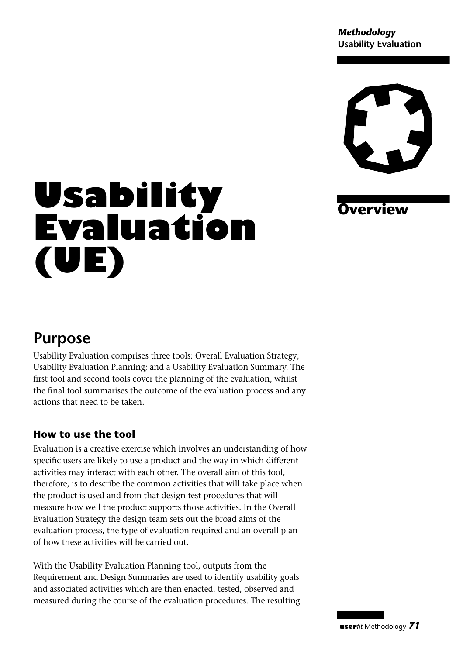*Methodology* **Usability Evaluation**



## **Overview**

# **Usability Evaluation (UE)**

## **Purpose**

Usability Evaluation comprises three tools: Overall Evaluation Strategy; Usability Evaluation Planning; and a Usability Evaluation Summary. The first tool and second tools cover the planning of the evaluation, whilst the final tool summarises the outcome of the evaluation process and any actions that need to be taken.

#### **How to use the tool**

Evaluation is a creative exercise which involves an understanding of how specific users are likely to use a product and the way in which different activities may interact with each other. The overall aim of this tool, therefore, is to describe the common activities that will take place when the product is used and from that design test procedures that will measure how well the product supports those activities. In the Overall Evaluation Strategy the design team sets out the broad aims of the evaluation process, the type of evaluation required and an overall plan of how these activities will be carried out.

With the Usability Evaluation Planning tool, outputs from the Requirement and Design Summaries are used to identify usability goals and associated activities which are then enacted, tested, observed and measured during the course of the evaluation procedures. The resulting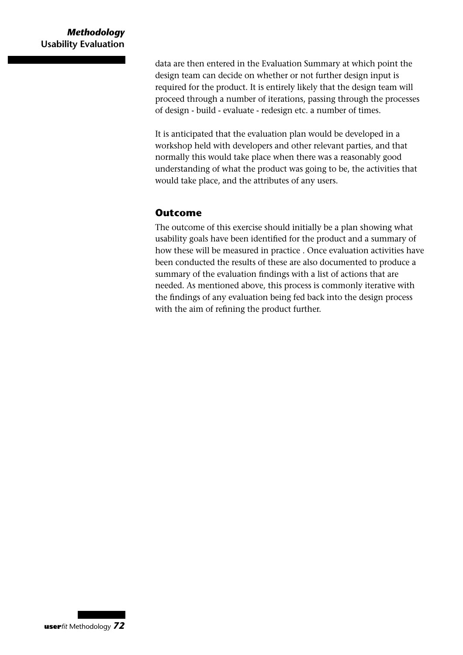data are then entered in the Evaluation Summary at which point the design team can decide on whether or not further design input is required for the product. It is entirely likely that the design team will proceed through a number of iterations, passing through the processes of design - build - evaluate - redesign etc. a number of times.

It is anticipated that the evaluation plan would be developed in a workshop held with developers and other relevant parties, and that normally this would take place when there was a reasonably good understanding of what the product was going to be, the activities that would take place, and the attributes of any users.

#### **Outcome**

The outcome of this exercise should initially be a plan showing what usability goals have been identified for the product and a summary of how these will be measured in practice . Once evaluation activities have been conducted the results of these are also documented to produce a summary of the evaluation findings with a list of actions that are needed. As mentioned above, this process is commonly iterative with the findings of any evaluation being fed back into the design process with the aim of refining the product further.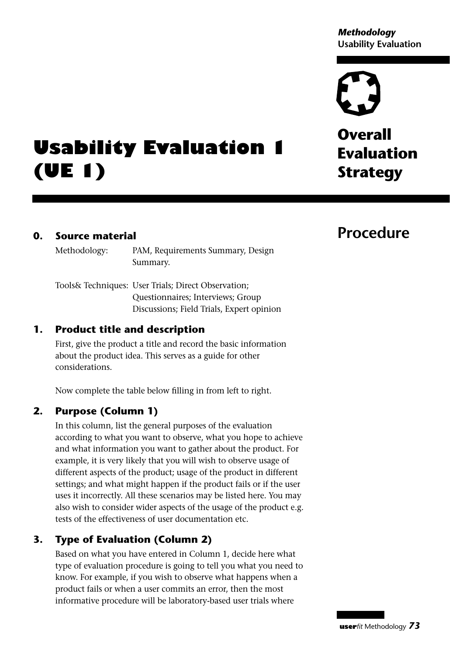#### *Methodology* **Usability Evaluation**

**Overall Evaluation Strategy**

# **Usability Evaluation 1 (UE 1)**

#### **0. Source material**

Methodology: PAM, Requirements Summary, Design Summary.

Tools& Techniques: User Trials; Direct Observation; Questionnaires; Interviews; Group Discussions; Field Trials, Expert opinion

#### **1. Product title and description**

First, give the product a title and record the basic information about the product idea. This serves as a guide for other considerations.

Now complete the table below filling in from left to right.

#### **2. Purpose (Column 1)**

In this column, list the general purposes of the evaluation according to what you want to observe, what you hope to achieve and what information you want to gather about the product. For example, it is very likely that you will wish to observe usage of different aspects of the product; usage of the product in different settings; and what might happen if the product fails or if the user uses it incorrectly. All these scenarios may be listed here. You may also wish to consider wider aspects of the usage of the product e.g. tests of the effectiveness of user documentation etc.

#### **3. Type of Evaluation (Column 2)**

Based on what you have entered in Column 1, decide here what type of evaluation procedure is going to tell you what you need to know. For example, if you wish to observe what happens when a product fails or when a user commits an error, then the most informative procedure will be laboratory-based user trials where

### **Procedure**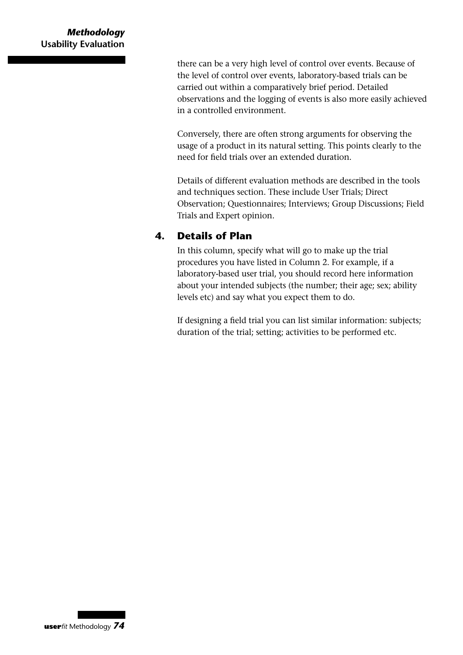there can be a very high level of control over events. Because of the level of control over events, laboratory-based trials can be carried out within a comparatively brief period. Detailed observations and the logging of events is also more easily achieved in a controlled environment.

Conversely, there are often strong arguments for observing the usage of a product in its natural setting. This points clearly to the need for field trials over an extended duration.

Details of different evaluation methods are described in the tools and techniques section. These include User Trials; Direct Observation; Questionnaires; Interviews; Group Discussions; Field Trials and Expert opinion.

#### **4. Details of Plan**

In this column, specify what will go to make up the trial procedures you have listed in Column 2. For example, if a laboratory-based user trial, you should record here information about your intended subjects (the number; their age; sex; ability levels etc) and say what you expect them to do.

If designing a field trial you can list similar information: subjects; duration of the trial; setting; activities to be performed etc.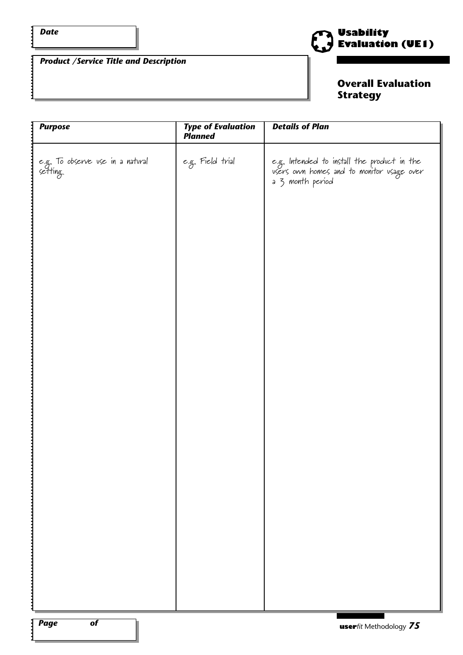$\frac{1}{2}$ 

#### *Product /Service Title and Description*



#### **Overall Evaluation Strategy**

| <b>Purpose</b>                              | <b>Type of Evaluation</b><br>Planned | <b>Details of Plan</b>                                                                                       |
|---------------------------------------------|--------------------------------------|--------------------------------------------------------------------------------------------------------------|
| e.g. To observe use in a natural<br>setting | e.g. Field trial                     | e.g. Intended to install the product in the<br>users own homes and to monitor usage over<br>a 3 month period |
|                                             |                                      |                                                                                                              |
|                                             |                                      |                                                                                                              |
|                                             |                                      |                                                                                                              |
|                                             |                                      |                                                                                                              |
|                                             |                                      |                                                                                                              |
|                                             |                                      |                                                                                                              |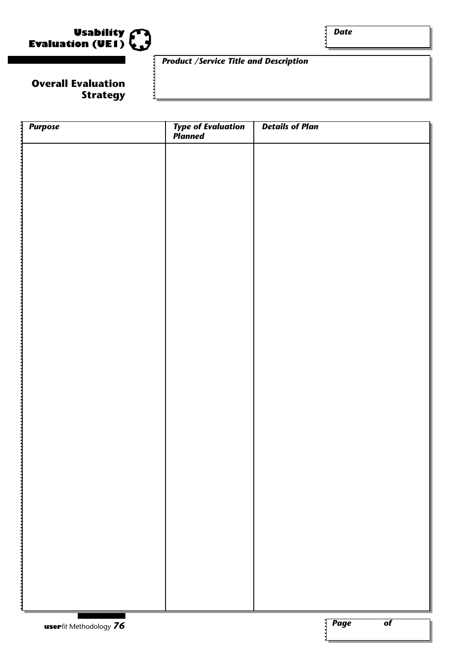

*Date*

#### **Overall Evaluation Strategy**

#### *Product /Service Title and Description*

| 1<br><b>Purpose</b>    | <b>Type of Evaluation</b><br>Planned | <b>Details of Plan</b>                         |
|------------------------|--------------------------------------|------------------------------------------------|
|                        |                                      |                                                |
|                        |                                      |                                                |
|                        |                                      |                                                |
|                        |                                      |                                                |
|                        |                                      |                                                |
|                        |                                      |                                                |
|                        |                                      |                                                |
|                        |                                      |                                                |
|                        |                                      |                                                |
|                        |                                      |                                                |
|                        |                                      |                                                |
|                        |                                      |                                                |
|                        |                                      |                                                |
|                        |                                      |                                                |
|                        |                                      |                                                |
|                        |                                      |                                                |
|                        |                                      |                                                |
|                        |                                      |                                                |
|                        |                                      |                                                |
|                        |                                      |                                                |
|                        |                                      |                                                |
|                        |                                      |                                                |
|                        |                                      |                                                |
|                        |                                      |                                                |
| userfit Methodology 76 |                                      | $\sqrt{\frac{2}{\pi}}$ Page<br>$\overline{of}$ |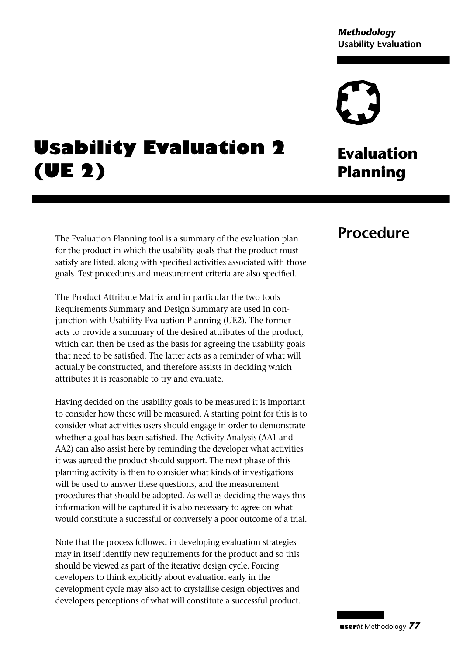## **Usability Evaluation 2 (UE 2)**

The Evaluation Planning tool is a summary of the evaluation plan for the product in which the usability goals that the product must satisfy are listed, along with specified activities associated with those goals. Test procedures and measurement criteria are also specified.

The Product Attribute Matrix and in particular the two tools Requirements Summary and Design Summary are used in conjunction with Usability Evaluation Planning (UE2). The former acts to provide a summary of the desired attributes of the product, which can then be used as the basis for agreeing the usability goals that need to be satisfied. The latter acts as a reminder of what will actually be constructed, and therefore assists in deciding which attributes it is reasonable to try and evaluate.

Having decided on the usability goals to be measured it is important to consider how these will be measured. A starting point for this is to consider what activities users should engage in order to demonstrate whether a goal has been satisfied. The Activity Analysis (AA1 and AA2) can also assist here by reminding the developer what activities it was agreed the product should support. The next phase of this planning activity is then to consider what kinds of investigations will be used to answer these questions, and the measurement procedures that should be adopted. As well as deciding the ways this information will be captured it is also necessary to agree on what would constitute a successful or conversely a poor outcome of a trial.

Note that the process followed in developing evaluation strategies may in itself identify new requirements for the product and so this should be viewed as part of the iterative design cycle. Forcing developers to think explicitly about evaluation early in the development cycle may also act to crystallise design objectives and developers perceptions of what will constitute a successful product.

## **Evaluation Planning**

## **Procedure**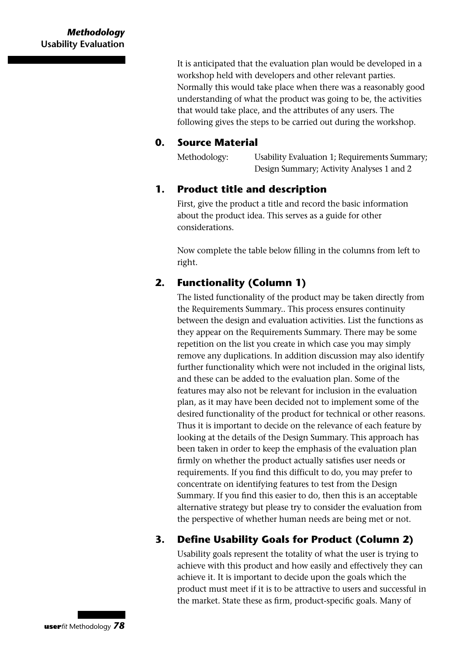It is anticipated that the evaluation plan would be developed in a workshop held with developers and other relevant parties. Normally this would take place when there was a reasonably good understanding of what the product was going to be, the activities that would take place, and the attributes of any users. The following gives the steps to be carried out during the workshop.

#### **0. Source Material**

Methodology: Usability Evaluation 1; Requirements Summary; Design Summary; Activity Analyses 1 and 2

#### **1. Product title and description**

First, give the product a title and record the basic information about the product idea. This serves as a guide for other considerations.

Now complete the table below filling in the columns from left to right.

#### **2. Functionality (Column 1)**

The listed functionality of the product may be taken directly from the Requirements Summary.. This process ensures continuity between the design and evaluation activities. List the functions as they appear on the Requirements Summary. There may be some repetition on the list you create in which case you may simply remove any duplications. In addition discussion may also identify further functionality which were not included in the original lists, and these can be added to the evaluation plan. Some of the features may also not be relevant for inclusion in the evaluation plan, as it may have been decided not to implement some of the desired functionality of the product for technical or other reasons. Thus it is important to decide on the relevance of each feature by looking at the details of the Design Summary. This approach has been taken in order to keep the emphasis of the evaluation plan firmly on whether the product actually satisfies user needs or requirements. If you find this difficult to do, you may prefer to concentrate on identifying features to test from the Design Summary. If you find this easier to do, then this is an acceptable alternative strategy but please try to consider the evaluation from the perspective of whether human needs are being met or not.

#### **3. Define Usability Goals for Product (Column 2)**

Usability goals represent the totality of what the user is trying to achieve with this product and how easily and effectively they can achieve it. It is important to decide upon the goals which the product must meet if it is to be attractive to users and successful in the market. State these as firm, product-specific goals. Many of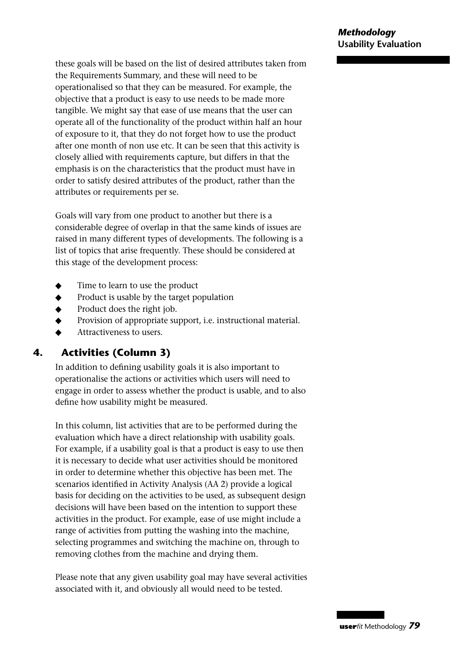these goals will be based on the list of desired attributes taken from the Requirements Summary, and these will need to be operationalised so that they can be measured. For example, the objective that a product is easy to use needs to be made more tangible. We might say that ease of use means that the user can operate all of the functionality of the product within half an hour of exposure to it, that they do not forget how to use the product after one month of non use etc. It can be seen that this activity is closely allied with requirements capture, but differs in that the emphasis is on the characteristics that the product must have in order to satisfy desired attributes of the product, rather than the attributes or requirements per se.

Goals will vary from one product to another but there is a considerable degree of overlap in that the same kinds of issues are raised in many different types of developments. The following is a list of topics that arise frequently. These should be considered at this stage of the development process:

- ◆ Time to learn to use the product
- Product is usable by the target population
- Product does the right job.
- Provision of appropriate support, i.e. instructional material.
- Attractiveness to users.

#### **4. Activities (Column 3)**

In addition to defining usability goals it is also important to operationalise the actions or activities which users will need to engage in order to assess whether the product is usable, and to also define how usability might be measured.

In this column, list activities that are to be performed during the evaluation which have a direct relationship with usability goals. For example, if a usability goal is that a product is easy to use then it is necessary to decide what user activities should be monitored in order to determine whether this objective has been met. The scenarios identified in Activity Analysis (AA 2) provide a logical basis for deciding on the activities to be used, as subsequent design decisions will have been based on the intention to support these activities in the product. For example, ease of use might include a range of activities from putting the washing into the machine, selecting programmes and switching the machine on, through to removing clothes from the machine and drying them.

Please note that any given usability goal may have several activities associated with it, and obviously all would need to be tested.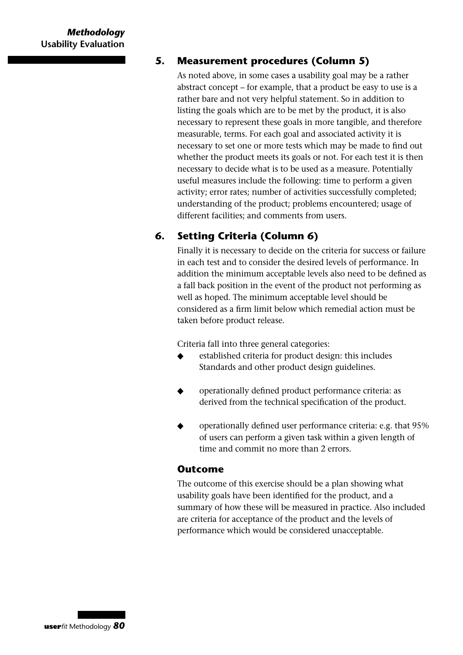#### **5. Measurement procedures (Column 5)**

As noted above, in some cases a usability goal may be a rather abstract concept – for example, that a product be easy to use is a rather bare and not very helpful statement. So in addition to listing the goals which are to be met by the product, it is also necessary to represent these goals in more tangible, and therefore measurable, terms. For each goal and associated activity it is necessary to set one or more tests which may be made to find out whether the product meets its goals or not. For each test it is then necessary to decide what is to be used as a measure. Potentially useful measures include the following: time to perform a given activity; error rates; number of activities successfully completed; understanding of the product; problems encountered; usage of different facilities; and comments from users.

#### **6. Setting Criteria (Column 6)**

Finally it is necessary to decide on the criteria for success or failure in each test and to consider the desired levels of performance. In addition the minimum acceptable levels also need to be defined as a fall back position in the event of the product not performing as well as hoped. The minimum acceptable level should be considered as a firm limit below which remedial action must be taken before product release.

Criteria fall into three general categories:

- established criteria for product design: this includes Standards and other product design guidelines.
- operationally defined product performance criteria: as derived from the technical specification of the product.
- operationally defined user performance criteria: e.g. that 95% of users can perform a given task within a given length of time and commit no more than 2 errors.

#### **Outcome**

The outcome of this exercise should be a plan showing what usability goals have been identified for the product, and a summary of how these will be measured in practice. Also included are criteria for acceptance of the product and the levels of performance which would be considered unacceptable.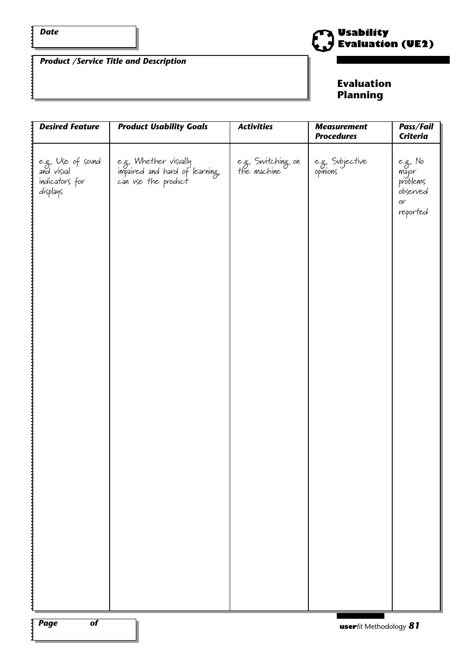$\ddot{\cdot}$ 

*Product /Service Title and Description*



#### **Evaluation Planning**

| <b>Desired Feature</b>                                        | <b>Product Usability Goals</b>                                                 | <b>Activities</b>                | <b>Measurement</b><br><b>Procedures</b> | Pass/Fail<br><b>Criteria</b>                                                      |
|---------------------------------------------------------------|--------------------------------------------------------------------------------|----------------------------------|-----------------------------------------|-----------------------------------------------------------------------------------|
| e.g. Use of sovnd<br>and visual<br>indicators for<br>displays | e.g. Whether visually<br>impaired and hard of learning,<br>can use the product | e.g. Switching on<br>the machine | e.g. Subjective<br>opinions             | e.g. No<br>major<br>problems<br>observed<br>$\mathcal{O} \mathcal{V}$<br>reported |
|                                                               |                                                                                |                                  |                                         |                                                                                   |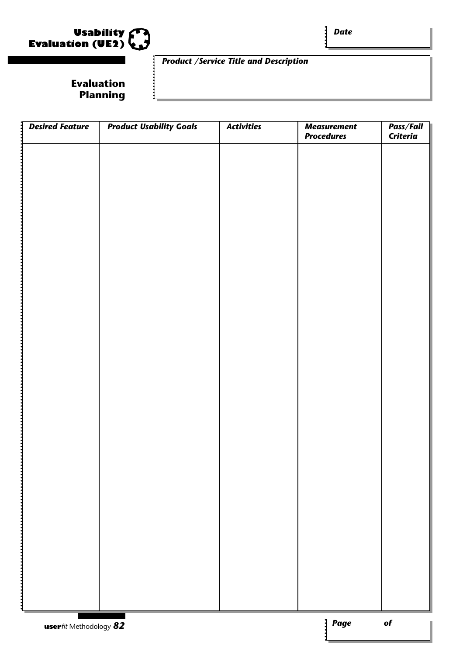

*Date*

#### **Evaluation Planning**

#### *Product /Service Title and Description*

| <b>Desired Feature</b>         | <b>Product Usability Goals</b> | <b>Activities</b> | <b>Measurement</b><br><b>Procedures</b> | Pass/Fail<br><b>Criteria</b> |
|--------------------------------|--------------------------------|-------------------|-----------------------------------------|------------------------------|
|                                |                                |                   |                                         |                              |
|                                |                                |                   |                                         |                              |
|                                |                                |                   |                                         |                              |
|                                |                                |                   |                                         |                              |
|                                |                                |                   |                                         |                              |
|                                |                                |                   |                                         |                              |
|                                |                                |                   |                                         |                              |
|                                |                                |                   |                                         |                              |
|                                |                                |                   |                                         |                              |
|                                |                                |                   |                                         |                              |
|                                |                                |                   |                                         |                              |
|                                |                                |                   |                                         |                              |
|                                |                                |                   |                                         |                              |
|                                |                                |                   |                                         |                              |
|                                |                                |                   |                                         |                              |
|                                |                                |                   |                                         |                              |
|                                |                                |                   |                                         |                              |
|                                |                                |                   |                                         |                              |
|                                |                                |                   |                                         |                              |
|                                |                                |                   |                                         |                              |
|                                |                                |                   |                                         |                              |
|                                |                                |                   |                                         |                              |
|                                |                                |                   |                                         |                              |
|                                |                                |                   |                                         |                              |
|                                |                                |                   |                                         |                              |
| <b>user</b> fit Methodology 82 |                                |                   | $\sqrt{Page}$                           | $\overline{of}$              |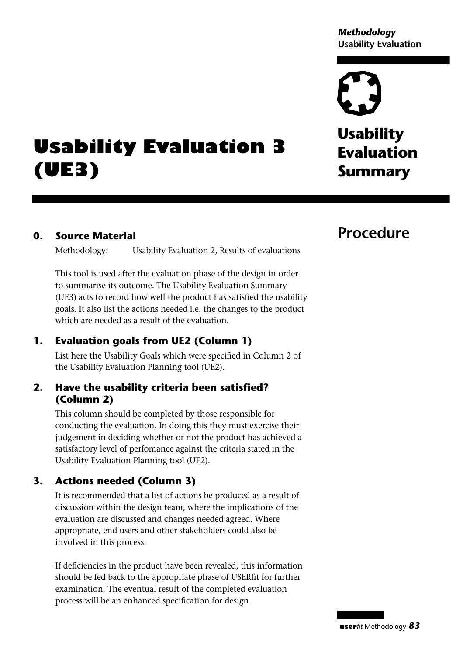*Methodology* **Usability Evaluation**

**Usability Evaluation Summary**

## **Usability Evaluation 3 (UE3)**

#### **0. Source Material**

Methodology: Usability Evaluation 2, Results of evaluations

This tool is used after the evaluation phase of the design in order to summarise its outcome. The Usability Evaluation Summary (UE3) acts to record how well the product has satisfied the usability goals. It also list the actions needed i.e. the changes to the product which are needed as a result of the evaluation.

#### **1. Evaluation goals from UE2 (Column 1)**

List here the Usability Goals which were specified in Column 2 of the Usability Evaluation Planning tool (UE2).

#### **2. Have the usability criteria been satisfied? (Column 2)**

This column should be completed by those responsible for conducting the evaluation. In doing this they must exercise their judgement in deciding whether or not the product has achieved a satisfactory level of perfomance against the criteria stated in the Usability Evaluation Planning tool (UE2).

#### **3. Actions needed (Column 3)**

It is recommended that a list of actions be produced as a result of discussion within the design team, where the implications of the evaluation are discussed and changes needed agreed. Where appropriate, end users and other stakeholders could also be involved in this process.

If deficiencies in the product have been revealed, this information should be fed back to the appropriate phase of USERfit for further examination. The eventual result of the completed evaluation process will be an enhanced specification for design.

## **Procedure**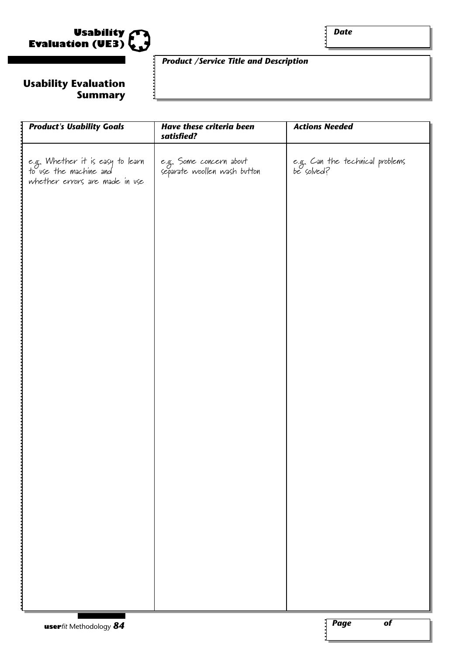

#### **Usability Evaluation Summary**

#### *Product /Service Title and Description*

| <b>Product's Usability Goals</b>                                                             | <b>Have these criteria been</b><br>satisfied?           | <b>Actions Needed</b>                         |
|----------------------------------------------------------------------------------------------|---------------------------------------------------------|-----------------------------------------------|
| e.g. Whether it is easy to learn<br>to use the machine and<br>whether errors are made in use | e.g. Some concern about<br>separate woollen wash button | e.g. Can the technical problems<br>be solved? |
|                                                                                              |                                                         |                                               |
|                                                                                              |                                                         |                                               |
|                                                                                              |                                                         |                                               |
|                                                                                              |                                                         |                                               |
|                                                                                              |                                                         |                                               |
|                                                                                              |                                                         |                                               |
|                                                                                              |                                                         |                                               |
|                                                                                              |                                                         |                                               |

 $\mathbf{i}$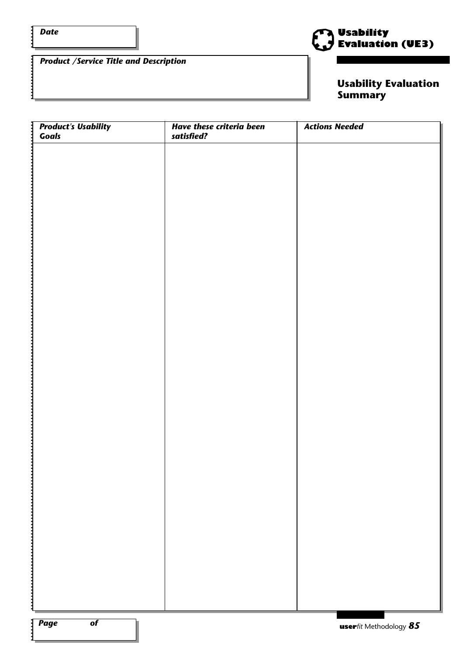$\ddot{\cdot}$ 



*Product /Service Title and Description*

**Usability Evaluation Summary**

| <b>Product's Usability</b><br>Goals | <b>Have these criteria been</b><br>satisfied? | <b>Actions Needed</b> |
|-------------------------------------|-----------------------------------------------|-----------------------|
|                                     |                                               |                       |
|                                     |                                               |                       |
|                                     |                                               |                       |
|                                     |                                               |                       |
|                                     |                                               |                       |
|                                     |                                               |                       |
|                                     |                                               |                       |
|                                     |                                               |                       |
|                                     |                                               |                       |
|                                     |                                               |                       |
|                                     |                                               |                       |
|                                     |                                               |                       |
|                                     |                                               |                       |
|                                     |                                               |                       |
|                                     |                                               |                       |
|                                     |                                               |                       |
|                                     |                                               |                       |
|                                     |                                               |                       |
|                                     |                                               |                       |
|                                     |                                               |                       |
|                                     |                                               |                       |
|                                     |                                               |                       |